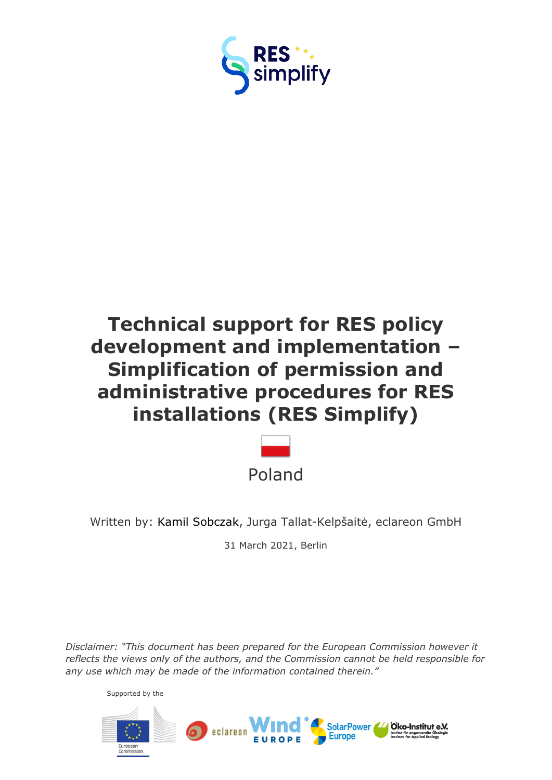

# **Technical support for RES policy development and implementation – Simplification of permission and administrative procedures for RES installations (RES Simplify)**



Written by: Kamil Sobczak, Jurga Tallat-Kelpšaitė, eclareon GmbH

31 March 2021, Berlin

*Disclaimer: "This document has been prepared for the European Commission however it reflects the views only of the authors, and the Commission cannot be held responsible for any use which may be made of the information contained therein."*

Supported by the

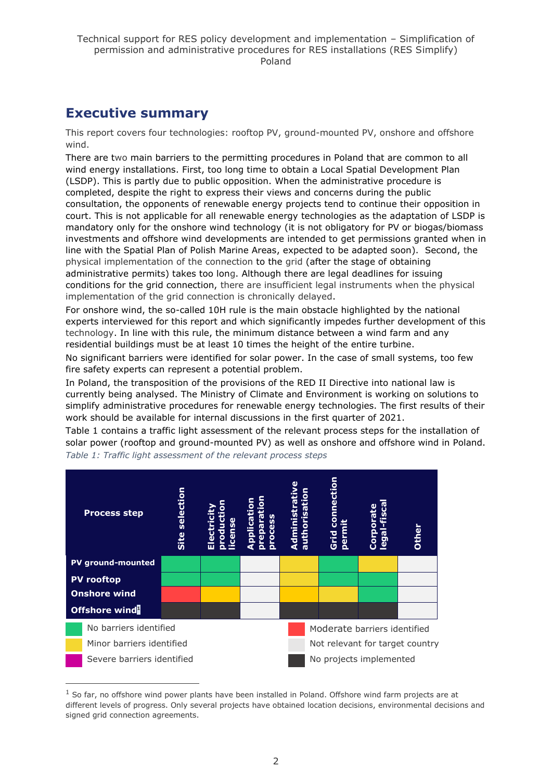## <span id="page-1-0"></span>**Executive summary**

This report covers four technologies: rooftop PV, ground-mounted PV, onshore and offshore wind.

There are two main barriers to the permitting procedures in Poland that are common to all wind energy installations. First, too long time to obtain a Local Spatial Development Plan (LSDP). This is partly due to public opposition. When the administrative procedure is completed, despite the right to express their views and concerns during the public consultation, the opponents of renewable energy projects tend to continue their opposition in court. This is not applicable for all renewable energy technologies as the adaptation of LSDP is mandatory only for the onshore wind technology (it is not obligatory for PV or biogas/biomass investments and offshore wind developments are intended to get permissions granted when in line with the Spatial Plan of Polish Marine Areas, expected to be adapted soon). Second, the physical implementation of the connection to the grid (after the stage of obtaining administrative permits) takes too long. Although there are legal deadlines for issuing conditions for the grid connection, there are insufficient legal instruments when the physical implementation of the grid connection is chronically delayed.

For onshore wind, the so-called 10H rule is the main obstacle highlighted by the national experts interviewed for this report and which significantly impedes further development of this technology. In line with this rule, the minimum distance between a wind farm and any residential buildings must be at least 10 times the height of the entire turbine.

No significant barriers were identified for solar power. In the case of small systems, too few fire safety experts can represent a potential problem.

In Poland, the transposition of the provisions of the RED II Directive into national law is currently being analysed. The Ministry of Climate and Environment is working on solutions to simplify administrative procedures for renewable energy technologies. The first results of their work should be available for internal discussions in the first quarter of 2021.

Table 1 contains a traffic light assessment of the relevant process steps for the installation of solar power (rooftop and ground-mounted PV) as well as onshore and offshore wind in Poland. *Table 1: Traffic light assessment of the relevant process steps*



 $1$  So far, no offshore wind power plants have been installed in Poland. Offshore wind farm projects are at different levels of progress. Only several projects have obtained location decisions, environmental decisions and signed grid connection agreements.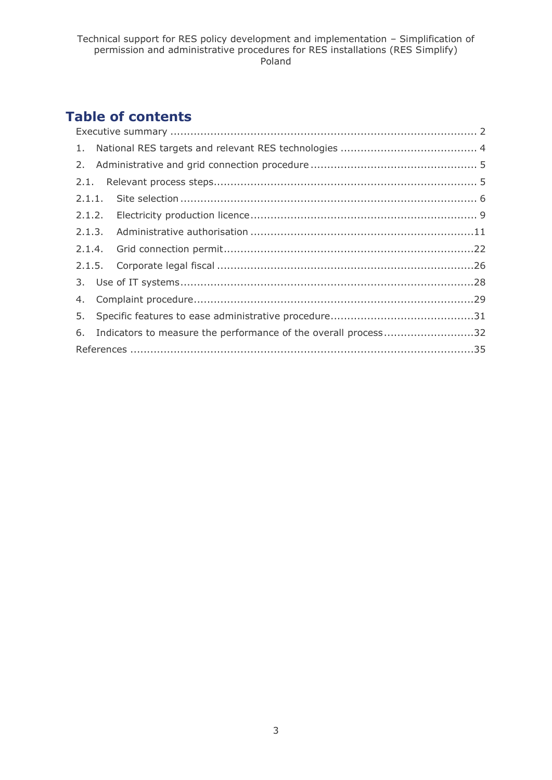## **Table of contents**

|  | 6. Indicators to measure the performance of the overall process32 |  |  |  |  |  |  |
|--|-------------------------------------------------------------------|--|--|--|--|--|--|
|  |                                                                   |  |  |  |  |  |  |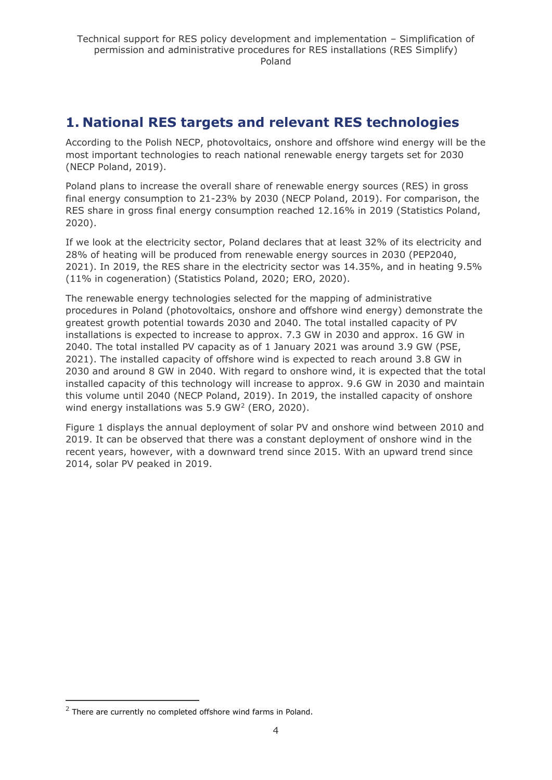## <span id="page-3-0"></span>**1. National RES targets and relevant RES technologies**

According to the Polish NECP, photovoltaics, onshore and offshore wind energy will be the most important technologies to reach national renewable energy targets set for 2030 (NECP Poland, 2019).

Poland plans to increase the overall share of renewable energy sources (RES) in gross final energy consumption to 21-23% by 2030 (NECP Poland, 2019). For comparison, the RES share in gross final energy consumption reached 12.16% in 2019 (Statistics Poland, 2020).

If we look at the electricity sector, Poland declares that at least 32% of its electricity and 28% of heating will be produced from renewable energy sources in 2030 (PEP2040, 2021). In 2019, the RES share in the electricity sector was 14.35%, and in heating 9.5% (11% in cogeneration) (Statistics Poland, 2020; ERO, 2020).

The renewable energy technologies selected for the mapping of administrative procedures in Poland (photovoltaics, onshore and offshore wind energy) demonstrate the greatest growth potential towards 2030 and 2040. The total installed capacity of PV installations is expected to increase to approx. 7.3 GW in 2030 and approx. 16 GW in 2040. The total installed PV capacity as of 1 January 2021 was around 3.9 GW (PSE, 2021). The installed capacity of offshore wind is expected to reach around 3.8 GW in 2030 and around 8 GW in 2040. With regard to onshore wind, it is expected that the total installed capacity of this technology will increase to approx. 9.6 GW in 2030 and maintain this volume until 2040 (NECP Poland, 2019). In 2019, the installed capacity of onshore wind energy installations was  $5.9 \text{ GW}^2$  (ERO, 2020).

Figure 1 displays the annual deployment of solar PV and onshore wind between 2010 and 2019. It can be observed that there was a constant deployment of onshore wind in the recent years, however, with a downward trend since 2015. With an upward trend since 2014, solar PV peaked in 2019.

 $2$  There are currently no completed offshore wind farms in Poland.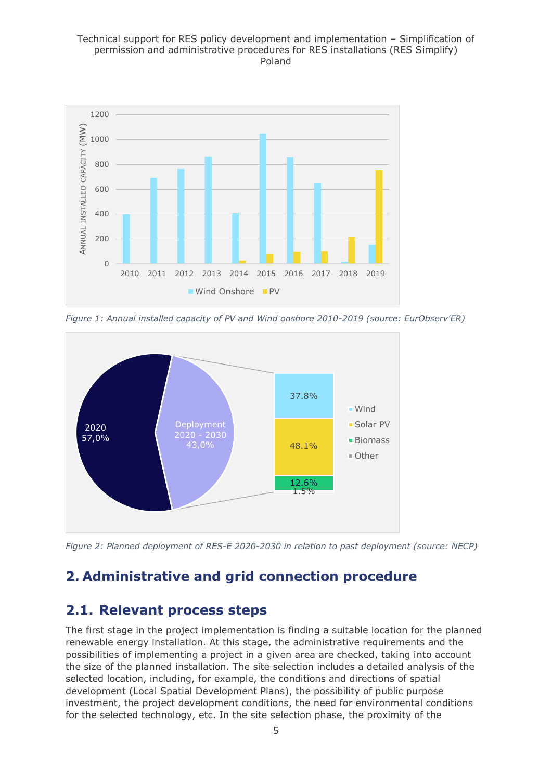#### Technical support for RES policy development and implementation – Simplification of permission and administrative procedures for RES installations (RES Simplify) Poland



*Figure 1: Annual installed capacity of PV and Wind onshore 2010-2019 (source: EurObserv'ER)*



*Figure 2: Planned deployment of RES-E 2020-2030 in relation to past deployment (source: NECP)*

## <span id="page-4-0"></span>**2. Administrative and grid connection procedure**

## <span id="page-4-1"></span>**2.1. Relevant process steps**

The first stage in the project implementation is finding a suitable location for the planned renewable energy installation. At this stage, the administrative requirements and the possibilities of implementing a project in a given area are checked, taking into account the size of the planned installation. The site selection includes a detailed analysis of the selected location, including, for example, the conditions and directions of spatial development (Local Spatial Development Plans), the possibility of public purpose investment, the project development conditions, the need for environmental conditions for the selected technology, etc. In the site selection phase, the proximity of the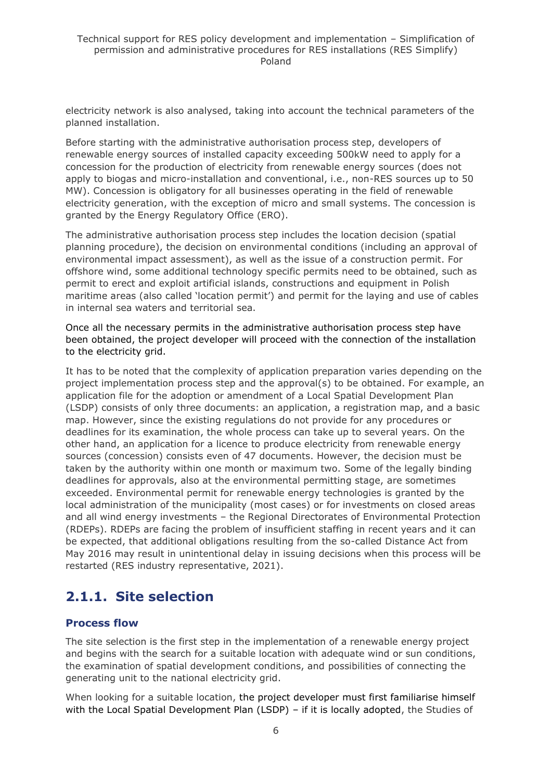electricity network is also analysed, taking into account the technical parameters of the planned installation.

Before starting with the administrative authorisation process step, developers of renewable energy sources of installed capacity exceeding 500kW need to apply for a concession for the production of electricity from renewable energy sources (does not apply to biogas and micro-installation and conventional, i.e., non-RES sources up to 50 MW). Concession is obligatory for all businesses operating in the field of renewable electricity generation, with the exception of micro and small systems. The concession is granted by the Energy Regulatory Office (ERO).

The administrative authorisation process step includes the location decision (spatial planning procedure), the decision on environmental conditions (including an approval of environmental impact assessment), as well as the issue of a construction permit. For offshore wind, some additional technology specific permits need to be obtained, such as permit to erect and exploit artificial islands, constructions and equipment in Polish maritime areas (also called 'location permit') and permit for the laying and use of cables in internal sea waters and territorial sea.

Once all the necessary permits in the administrative authorisation process step have been obtained, the project developer will proceed with the connection of the installation to the electricity grid.

It has to be noted that the complexity of application preparation varies depending on the project implementation process step and the approval(s) to be obtained. For example, an application file for the adoption or amendment of a Local Spatial Development Plan (LSDP) consists of only three documents: an application, a registration map, and a basic map. However, since the existing regulations do not provide for any procedures or deadlines for its examination, the whole process can take up to several years. On the other hand, an application for a licence to produce electricity from renewable energy sources (concession) consists even of 47 documents. However, the decision must be taken by the authority within one month or maximum two. Some of the legally binding deadlines for approvals, also at the environmental permitting stage, are sometimes exceeded. Environmental permit for renewable energy technologies is granted by the local administration of the municipality (most cases) or for investments on closed areas and all wind energy investments – the Regional Directorates of Environmental Protection (RDEPs). RDEPs are facing the problem of insufficient staffing in recent years and it can be expected, that additional obligations resulting from the so-called Distance Act from May 2016 may result in unintentional delay in issuing decisions when this process will be restarted (RES industry representative, 2021).

## <span id="page-5-0"></span>**2.1.1. Site selection**

## **Process flow**

The site selection is the first step in the implementation of a renewable energy project and begins with the search for a suitable location with adequate wind or sun conditions, the examination of spatial development conditions, and possibilities of connecting the generating unit to the national electricity grid.

When looking for a suitable location, the project developer must first familiarise himself with the Local Spatial Development Plan (LSDP) - if it is locally adopted, the Studies of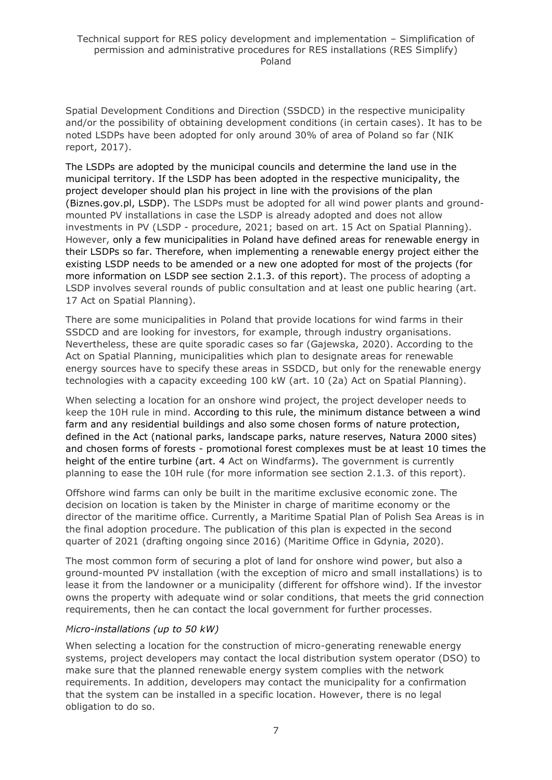Spatial Development Conditions and Direction (SSDCD) in the respective municipality and/or the possibility of obtaining development conditions (in certain cases). It has to be noted LSDPs have been adopted for only around 30% of area of Poland so far (NIK report, 2017).

The LSDPs are adopted by the municipal councils and determine the land use in the municipal territory. If the LSDP has been adopted in the respective municipality, the project developer should plan his project in line with the provisions of the plan (Biznes.gov.pl, LSDP). The LSDPs must be adopted for all wind power plants and groundmounted PV installations in case the LSDP is already adopted and does not allow investments in PV (LSDP - procedure, 2021; based on art. 15 Act on Spatial Planning). However, only a few municipalities in Poland have defined areas for renewable energy in their LSDPs so far. Therefore, when implementing a renewable energy project either the existing LSDP needs to be amended or a new one adopted for most of the projects (for more information on LSDP see section 2.1.3. of this report). The process of adopting a LSDP involves several rounds of public consultation and at least one public hearing (art. 17 Act on Spatial Planning).

There are some municipalities in Poland that provide locations for wind farms in their SSDCD and are looking for investors, for example, through industry organisations. Nevertheless, these are quite sporadic cases so far (Gajewska, 2020). According to the Act on Spatial Planning, municipalities which plan to designate areas for renewable energy sources have to specify these areas in SSDCD, but only for the renewable energy technologies with a capacity exceeding 100 kW (art. 10 (2a) Act on Spatial Planning).

When selecting a location for an onshore wind project, the project developer needs to keep the 10H rule in mind. According to this rule, the minimum distance between a wind farm and any residential buildings and also some chosen forms of nature protection, defined in the Act (national parks, landscape parks, nature reserves, Natura 2000 sites) and chosen forms of forests - promotional forest complexes must be at least 10 times the height of the entire turbine (art. 4 Act on Windfarms). The government is currently planning to ease the 10H rule (for more information see section 2.1.3. of this report).

Offshore wind farms can only be built in the maritime exclusive economic zone. The decision on location is taken by the Minister in charge of maritime economy or the director of the maritime office. Currently, a Maritime Spatial Plan of Polish Sea Areas is in the final adoption procedure. The publication of this plan is expected in the second quarter of 2021 (drafting ongoing since 2016) (Maritime Office in Gdynia, 2020).

The most common form of securing a plot of land for onshore wind power, but also a ground-mounted PV installation (with the exception of micro and small installations) is to lease it from the landowner or a municipality (different for offshore wind). If the investor owns the property with adequate wind or solar conditions, that meets the grid connection requirements, then he can contact the local government for further processes.

#### *Micro-installations (up to 50 kW)*

When selecting a location for the construction of micro-generating renewable energy systems, project developers may contact the local distribution system operator (DSO) to make sure that the planned renewable energy system complies with the network requirements. In addition, developers may contact the municipality for a confirmation that the system can be installed in a specific location. However, there is no legal obligation to do so.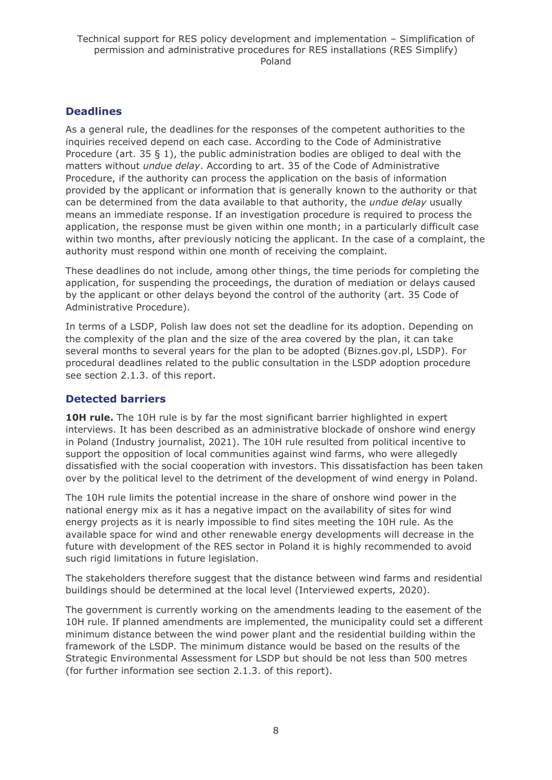### **Deadlines**

As a general rule, the deadlines for the responses of the competent authorities to the inquiries received depend on each case. According to the Code of Administrative Procedure (art. 35 § 1), the public administration bodies are obliged to deal with the matters without *undue delay*. According to art. 35 of the Code of Administrative Procedure, if the authority can process the application on the basis of information provided by the applicant or information that is generally known to the authority or that can be determined from the data available to that authority, the *undue delay* usually means an immediate response. If an investigation procedure is required to process the application, the response must be given within one month; in a particularly difficult case within two months, after previously noticing the applicant. In the case of a complaint, the authority must respond within one month of receiving the complaint.

These deadlines do not include, among other things, the time periods for completing the application, for suspending the proceedings, the duration of mediation or delays caused by the applicant or other delays beyond the control of the authority (art. 35 Code of Administrative Procedure).

In terms of a LSDP, Polish law does not set the deadline for its adoption. Depending on the complexity of the plan and the size of the area covered by the plan, it can take several months to several years for the plan to be adopted (Biznes.gov.pl, LSDP). For procedural deadlines related to the public consultation in the LSDP adoption procedure see section 2.1.3. of this report.

## **Detected barriers**

**10H rule.** The 10H rule is by far the most significant barrier highlighted in expert interviews. It has been described as an administrative blockade of onshore wind energy in Poland (Industry journalist, 2021). The 10H rule resulted from political incentive to support the opposition of local communities against wind farms, who were allegedly dissatisfied with the social cooperation with investors. This dissatisfaction has been taken over by the political level to the detriment of the development of wind energy in Poland.

The 10H rule limits the potential increase in the share of onshore wind power in the national energy mix as it has a negative impact on the availability of sites for wind energy projects as it is nearly impossible to find sites meeting the 10H rule. As the available space for wind and other renewable energy developments will decrease in the future with development of the RES sector in Poland it is highly recommended to avoid such rigid limitations in future legislation.

The stakeholders therefore suggest that the distance between wind farms and residential buildings should be determined at the local level (Interviewed experts, 2020).

The government is currently working on the amendments leading to the easement of the 10H rule. If planned amendments are implemented, the municipality could set a different minimum distance between the wind power plant and the residential building within the framework of the LSDP. The minimum distance would be based on the results of the Strategic Environmental Assessment for LSDP but should be not less than 500 metres (for further information see section 2.1.3. of this report).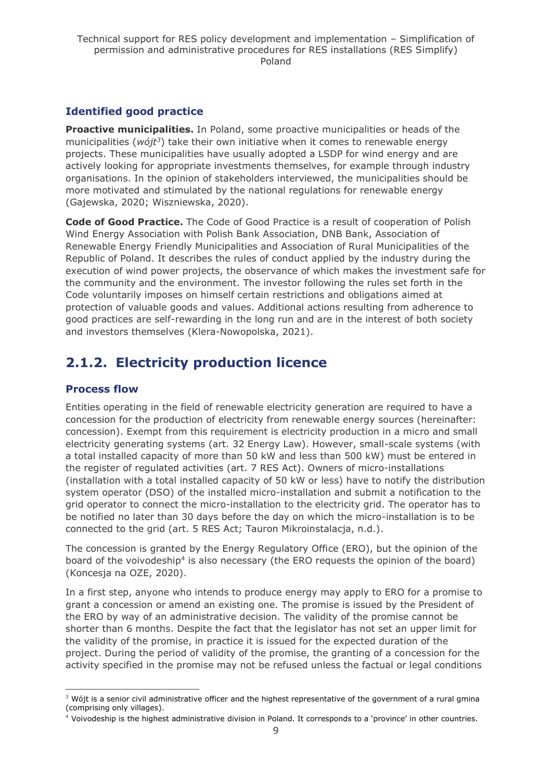## **Identified good practice**

**Proactive municipalities.** In Poland, some proactive municipalities or heads of the municipalities (*wójt<sup>3</sup>* ) take their own initiative when it comes to renewable energy projects. These municipalities have usually adopted a LSDP for wind energy and are actively looking for appropriate investments themselves, for example through industry organisations. In the opinion of stakeholders interviewed, the municipalities should be more motivated and stimulated by the national regulations for renewable energy (Gajewska, 2020; Wiszniewska, 2020).

**Code of Good Practice.** The Code of Good Practice is a result of cooperation of Polish Wind Energy Association with Polish Bank Association, DNB Bank, Association of Renewable Energy Friendly Municipalities and Association of Rural Municipalities of the Republic of Poland. It describes the rules of conduct applied by the industry during the execution of wind power projects, the observance of which makes the investment safe for the community and the environment. The investor following the rules set forth in the Code voluntarily imposes on himself certain restrictions and obligations aimed at protection of valuable goods and values. Additional actions resulting from adherence to good practices are self-rewarding in the long run and are in the interest of both society and investors themselves (Klera-Nowopolska, 2021).

## <span id="page-8-0"></span>**2.1.2. Electricity production licence**

## **Process flow**

Entities operating in the field of renewable electricity generation are required to have a concession for the production of electricity from renewable energy sources (hereinafter: concession). Exempt from this requirement is electricity production in a micro and small electricity generating systems (art. 32 Energy Law). However, small-scale systems (with a total installed capacity of more than 50 kW and less than 500 kW) must be entered in the register of regulated activities (art. 7 RES Act). Owners of micro-installations (installation with a total installed capacity of 50 kW or less) have to notify the distribution system operator (DSO) of the installed micro-installation and submit a notification to the grid operator to connect the micro-installation to the electricity grid. The operator has to be notified no later than 30 days before the day on which the micro-installation is to be connected to the grid (art. 5 RES Act; Tauron Mikroinstalacja, n.d.).

The concession is granted by the Energy Regulatory Office (ERO), but the opinion of the board of the voivodeship<sup>4</sup> is also necessary (the ERO requests the opinion of the board) (Koncesja na OZE, 2020).

In a first step, anyone who intends to produce energy may apply to ERO for a promise to grant a concession or amend an existing one. The promise is issued by the President of the ERO by way of an administrative decision. The validity of the promise cannot be shorter than 6 months. Despite the fact that the legislator has not set an upper limit for the validity of the promise, in practice it is issued for the expected duration of the project. During the period of validity of the promise, the granting of a concession for the activity specified in the promise may not be refused unless the factual or legal conditions

 $3$  Wójt is a senior civil administrative officer and the highest representative of the government of a rural gmina (comprising only villages).

<sup>4</sup> Voivodeship is the highest administrative division in Poland. It corresponds to a 'province' in other countries.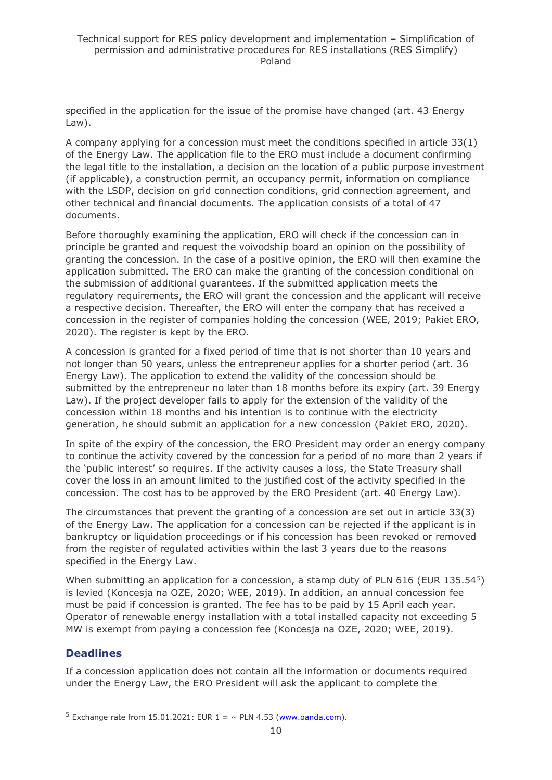specified in the application for the issue of the promise have changed (art. 43 Energy Law).

A company applying for a concession must meet the conditions specified in article 33(1) of the Energy Law. The application file to the ERO must include a document confirming the legal title to the installation, a decision on the location of a public purpose investment (if applicable), a construction permit, an occupancy permit, information on compliance with the LSDP, decision on grid connection conditions, grid connection agreement, and other technical and financial documents. The application consists of a total of 47 documents.

Before thoroughly examining the application, ERO will check if the concession can in principle be granted and request the voivodship board an opinion on the possibility of granting the concession. In the case of a positive opinion, the ERO will then examine the application submitted. The ERO can make the granting of the concession conditional on the submission of additional guarantees. If the submitted application meets the regulatory requirements, the ERO will grant the concession and the applicant will receive a respective decision. Thereafter, the ERO will enter the company that has received a concession in the register of companies holding the concession (WEE, 2019; Pakiet ERO, 2020). The register is kept by the ERO.

A concession is granted for a fixed period of time that is not shorter than 10 years and not longer than 50 years, unless the entrepreneur applies for a shorter period (art. 36 Energy Law). The application to extend the validity of the concession should be submitted by the entrepreneur no later than 18 months before its expiry (art. 39 Energy Law). If the project developer fails to apply for the extension of the validity of the concession within 18 months and his intention is to continue with the electricity generation, he should submit an application for a new concession (Pakiet ERO, 2020).

In spite of the expiry of the concession, the ERO President may order an energy company to continue the activity covered by the concession for a period of no more than 2 years if the 'public interest' so requires. If the activity causes a loss, the State Treasury shall cover the loss in an amount limited to the justified cost of the activity specified in the concession. The cost has to be approved by the ERO President (art. 40 Energy Law).

The circumstances that prevent the granting of a concession are set out in article 33(3) of the Energy Law. The application for a concession can be rejected if the applicant is in bankruptcy or liquidation proceedings or if his concession has been revoked or removed from the register of regulated activities within the last 3 years due to the reasons specified in the Energy Law.

When submitting an application for a concession, a stamp duty of PLN 616 (EUR 135.54 $5$ ) is levied (Koncesja na OZE, 2020; WEE, 2019). In addition, an annual concession fee must be paid if concession is granted. The fee has to be paid by 15 April each year. Operator of renewable energy installation with a total installed capacity not exceeding 5 MW is exempt from paying a concession fee (Koncesja na OZE, 2020; WEE, 2019).

## **Deadlines**

If a concession application does not contain all the information or documents required under the Energy Law, the ERO President will ask the applicant to complete the

<sup>&</sup>lt;sup>5</sup> Exchange rate from 15.01.2021: EUR  $1 = \sim$  PLN 4.53 [\(www.oanda.com\)](http://www.oanda.com/).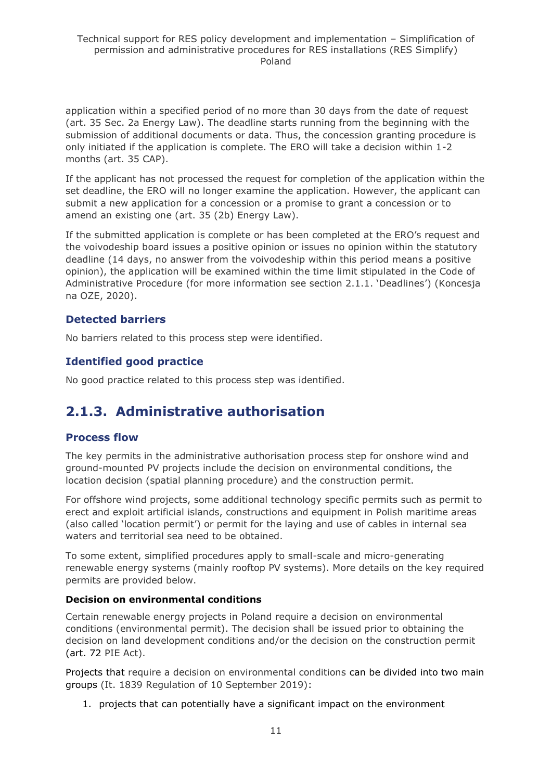application within a specified period of no more than 30 days from the date of request (art. 35 Sec. 2a Energy Law). The deadline starts running from the beginning with the submission of additional documents or data. Thus, the concession granting procedure is only initiated if the application is complete. The ERO will take a decision within 1-2 months (art. 35 CAP).

If the applicant has not processed the request for completion of the application within the set deadline, the ERO will no longer examine the application. However, the applicant can submit a new application for a concession or a promise to grant a concession or to amend an existing one (art. 35 (2b) Energy Law).

If the submitted application is complete or has been completed at the ERO's request and the voivodeship board issues a positive opinion or issues no opinion within the statutory deadline (14 days, no answer from the voivodeship within this period means a positive opinion), the application will be examined within the time limit stipulated in the Code of Administrative Procedure (for more information see section 2.1.1. 'Deadlines') (Koncesja na OZE, 2020).

## **Detected barriers**

No barriers related to this process step were identified.

## **Identified good practice**

No good practice related to this process step was identified.

## <span id="page-10-0"></span>**2.1.3. Administrative authorisation**

## **Process flow**

The key permits in the administrative authorisation process step for onshore wind and ground-mounted PV projects include the decision on environmental conditions, the location decision (spatial planning procedure) and the construction permit.

For offshore wind projects, some additional technology specific permits such as permit to erect and exploit artificial islands, constructions and equipment in Polish maritime areas (also called 'location permit') or permit for the laying and use of cables in internal sea waters and territorial sea need to be obtained.

To some extent, simplified procedures apply to small-scale and micro-generating renewable energy systems (mainly rooftop PV systems). More details on the key required permits are provided below.

## **Decision on environmental conditions**

Certain renewable energy projects in Poland require a decision on environmental conditions (environmental permit). The decision shall be issued prior to obtaining the decision on land development conditions and/or the decision on the construction permit (art. 72 PIE Act).

Projects that require a decision on environmental conditions can be divided into two main groups (It. 1839 Regulation of 10 September 2019):

1. projects that can potentially have a significant impact on the environment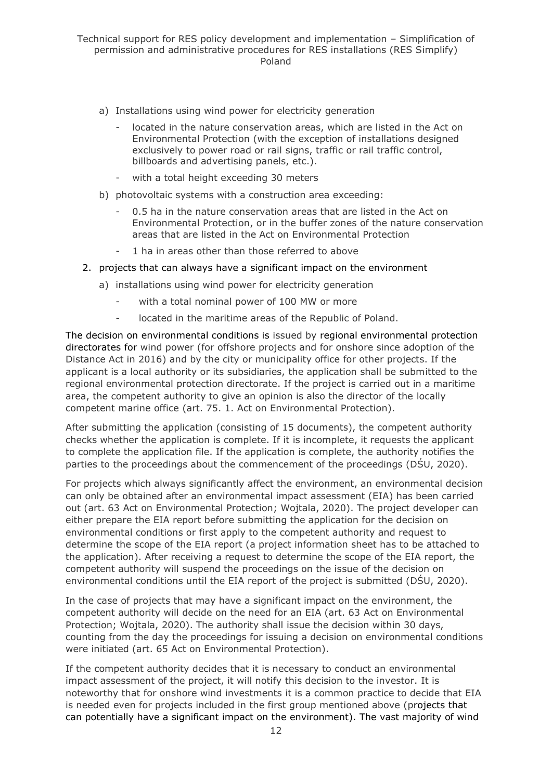- a) Installations using wind power for electricity generation
	- located in the nature conservation areas, which are listed in the Act on Environmental Protection (with the exception of installations designed exclusively to power road or rail signs, traffic or rail traffic control, billboards and advertising panels, etc.).
	- with a total height exceeding 30 meters
- b) photovoltaic systems with a construction area exceeding:
	- 0.5 ha in the nature conservation areas that are listed in the Act on Environmental Protection, or in the buffer zones of the nature conservation areas that are listed in the Act on Environmental Protection
	- 1 ha in areas other than those referred to above
- 2. projects that can always have a significant impact on the environment
	- a) installations using wind power for electricity generation
		- with a total nominal power of 100 MW or more
		- located in the maritime areas of the Republic of Poland.

The decision on environmental conditions is issued by regional environmental protection directorates for wind power (for offshore projects and for onshore since adoption of the Distance Act in 2016) and by the city or municipality office for other projects. If the applicant is a local authority or its subsidiaries, the application shall be submitted to the regional environmental protection directorate. If the project is carried out in a maritime area, the competent authority to give an opinion is also the director of the locally competent marine office (art. 75. 1. Act on Environmental Protection).

After submitting the application (consisting of 15 documents), the competent authority checks whether the application is complete. If it is incomplete, it requests the applicant to complete the application file. If the application is complete, the authority notifies the parties to the proceedings about the commencement of the proceedings (DŚU, 2020).

For projects which always significantly affect the environment, an environmental decision can only be obtained after an environmental impact assessment (EIA) has been carried out (art. 63 Act on Environmental Protection; Wojtala, 2020). The project developer can either prepare the EIA report before submitting the application for the decision on environmental conditions or first apply to the competent authority and request to determine the scope of the EIA report (a project information sheet has to be attached to the application). After receiving a request to determine the scope of the EIA report, the competent authority will suspend the proceedings on the issue of the decision on environmental conditions until the EIA report of the project is submitted (DŚU, 2020).

In the case of projects that may have a significant impact on the environment, the competent authority will decide on the need for an EIA (art. 63 Act on Environmental Protection; Wojtala, 2020). The authority shall issue the decision within 30 days, counting from the day the proceedings for issuing a decision on environmental conditions were initiated (art. 65 Act on Environmental Protection).

If the competent authority decides that it is necessary to conduct an environmental impact assessment of the project, it will notify this decision to the investor. It is noteworthy that for onshore wind investments it is a common practice to decide that EIA is needed even for projects included in the first group mentioned above (projects that can potentially have a significant impact on the environment). The vast majority of wind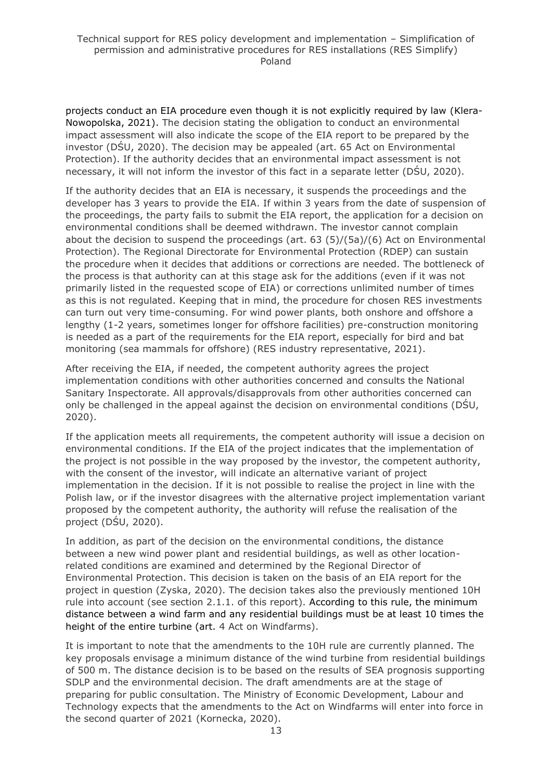projects conduct an EIA procedure even though it is not explicitly required by law (Klera-Nowopolska, 2021). The decision stating the obligation to conduct an environmental impact assessment will also indicate the scope of the EIA report to be prepared by the investor (DŚU, 2020). The decision may be appealed (art. 65 Act on Environmental Protection). If the authority decides that an environmental impact assessment is not necessary, it will not inform the investor of this fact in a separate letter (DŚU, 2020).

If the authority decides that an EIA is necessary, it suspends the proceedings and the developer has 3 years to provide the EIA. If within 3 years from the date of suspension of the proceedings, the party fails to submit the EIA report, the application for a decision on environmental conditions shall be deemed withdrawn. The investor cannot complain about the decision to suspend the proceedings (art. 63 (5)/(5a)/(6) Act on Environmental Protection). The Regional Directorate for Environmental Protection (RDEP) can sustain the procedure when it decides that additions or corrections are needed. The bottleneck of the process is that authority can at this stage ask for the additions (even if it was not primarily listed in the requested scope of EIA) or corrections unlimited number of times as this is not regulated. Keeping that in mind, the procedure for chosen RES investments can turn out very time-consuming. For wind power plants, both onshore and offshore a lengthy (1-2 years, sometimes longer for offshore facilities) pre-construction monitoring is needed as a part of the requirements for the EIA report, especially for bird and bat monitoring (sea mammals for offshore) (RES industry representative, 2021).

After receiving the EIA, if needed, the competent authority agrees the project implementation conditions with other authorities concerned and consults the National Sanitary Inspectorate. All approvals/disapprovals from other authorities concerned can only be challenged in the appeal against the decision on environmental conditions (DŚU, 2020).

If the application meets all requirements, the competent authority will issue a decision on environmental conditions. If the EIA of the project indicates that the implementation of the project is not possible in the way proposed by the investor, the competent authority, with the consent of the investor, will indicate an alternative variant of project implementation in the decision. If it is not possible to realise the project in line with the Polish law, or if the investor disagrees with the alternative project implementation variant proposed by the competent authority, the authority will refuse the realisation of the project (DŚU, 2020).

In addition, as part of the decision on the environmental conditions, the distance between a new wind power plant and residential buildings, as well as other locationrelated conditions are examined and determined by the Regional Director of Environmental Protection. This decision is taken on the basis of an EIA report for the project in question (Zyska, 2020). The decision takes also the previously mentioned 10H rule into account (see section 2.1.1. of this report). According to this rule, the minimum distance between a wind farm and any residential buildings must be at least 10 times the height of the entire turbine (art. 4 Act on Windfarms).

It is important to note that the amendments to the 10H rule are currently planned. The key proposals envisage a minimum distance of the wind turbine from residential buildings of 500 m. The distance decision is to be based on the results of SEA prognosis supporting SDLP and the environmental decision. The draft amendments are at the stage of preparing for public consultation. The Ministry of Economic Development, Labour and Technology expects that the amendments to the Act on Windfarms will enter into force in the second quarter of 2021 (Kornecka, 2020).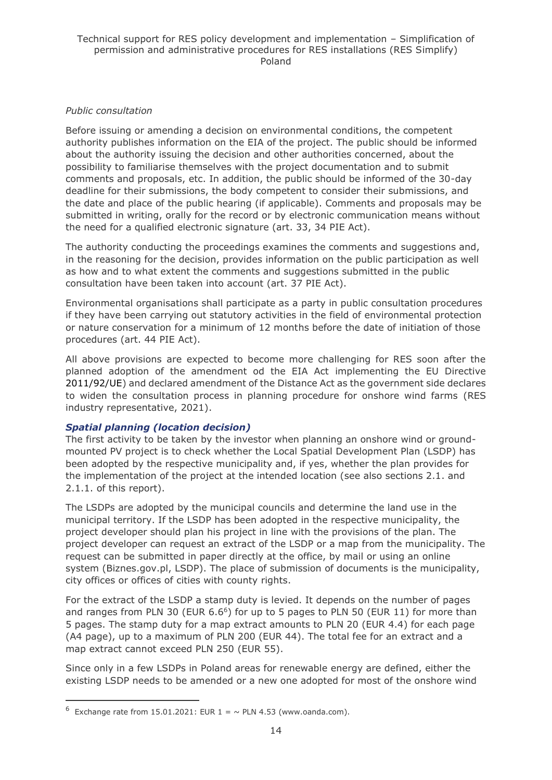#### *Public consultation*

Before issuing or amending a decision on environmental conditions, the competent authority publishes information on the EIA of the project. The public should be informed about the authority issuing the decision and other authorities concerned, about the possibility to familiarise themselves with the project documentation and to submit comments and proposals, etc. In addition, the public should be informed of the 30-day deadline for their submissions, the body competent to consider their submissions, and the date and place of the public hearing (if applicable). Comments and proposals may be submitted in writing, orally for the record or by electronic communication means without the need for a qualified electronic signature (art. 33, 34 PIE Act).

The authority conducting the proceedings examines the comments and suggestions and, in the reasoning for the decision, provides information on the public participation as well as how and to what extent the comments and suggestions submitted in the public consultation have been taken into account (art. 37 PIE Act).

Environmental organisations shall participate as a party in public consultation procedures if they have been carrying out statutory activities in the field of environmental protection or nature conservation for a minimum of 12 months before the date of initiation of those procedures (art. 44 PIE Act).

All above provisions are expected to become more challenging for RES soon after the planned adoption of the amendment od the EIA Act implementing the EU Directive 2011/92/UE) and declared amendment of the Distance Act as the government side declares to widen the consultation process in planning procedure for onshore wind farms (RES industry representative, 2021).

#### *Spatial planning (location decision)*

The first activity to be taken by the investor when planning an onshore wind or groundmounted PV project is to check whether the Local Spatial Development Plan (LSDP) has been adopted by the respective municipality and, if yes, whether the plan provides for the implementation of the project at the intended location (see also sections 2.1. and 2.1.1. of this report).

The LSDPs are adopted by the municipal councils and determine the land use in the municipal territory. If the LSDP has been adopted in the respective municipality, the project developer should plan his project in line with the provisions of the plan. The project developer can request an extract of the LSDP or a map from the municipality. The request can be submitted in paper directly at the office, by mail or using an online system (Biznes.gov.pl, LSDP). The place of submission of documents is the municipality, city offices or offices of cities with county rights.

For the extract of the LSDP a stamp duty is levied. It depends on the number of pages and ranges from PLN 30 (EUR  $6.6<sup>6</sup>$ ) for up to 5 pages to PLN 50 (EUR 11) for more than 5 pages. The stamp duty for a map extract amounts to PLN 20 (EUR 4.4) for each page (A4 page), up to a maximum of PLN 200 (EUR 44). The total fee for an extract and a map extract cannot exceed PLN 250 (EUR 55).

Since only in a few LSDPs in Poland areas for renewable energy are defined, either the existing LSDP needs to be amended or a new one adopted for most of the onshore wind

 $6$  Exchange rate from 15.01.2021: EUR 1 =  $\sim$  PLN 4.53 (www.oanda.com).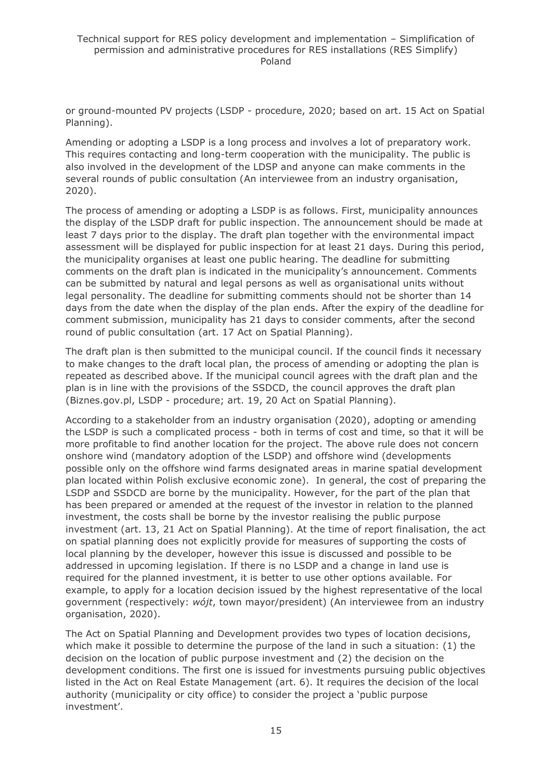or ground-mounted PV projects (LSDP - procedure, 2020; based on art. 15 Act on Spatial Planning).

Amending or adopting a LSDP is a long process and involves a lot of preparatory work. This requires contacting and long-term cooperation with the municipality. The public is also involved in the development of the LDSP and anyone can make comments in the several rounds of public consultation (An interviewee from an industry organisation, 2020).

The process of amending or adopting a LSDP is as follows. First, municipality announces the display of the LSDP draft for public inspection. The announcement should be made at least 7 days prior to the display. The draft plan together with the environmental impact assessment will be displayed for public inspection for at least 21 days. During this period, the municipality organises at least one public hearing. The deadline for submitting comments on the draft plan is indicated in the municipality's announcement. Comments can be submitted by natural and legal persons as well as organisational units without legal personality. The deadline for submitting comments should not be shorter than 14 days from the date when the display of the plan ends. After the expiry of the deadline for comment submission, municipality has 21 days to consider comments, after the second round of public consultation (art. 17 Act on Spatial Planning).

The draft plan is then submitted to the municipal council. If the council finds it necessary to make changes to the draft local plan, the process of amending or adopting the plan is repeated as described above. If the municipal council agrees with the draft plan and the plan is in line with the provisions of the SSDCD, the council approves the draft plan (Biznes.gov.pl, LSDP - procedure; art. 19, 20 Act on Spatial Planning).

According to a stakeholder from an industry organisation (2020), adopting or amending the LSDP is such a complicated process - both in terms of cost and time, so that it will be more profitable to find another location for the project. The above rule does not concern onshore wind (mandatory adoption of the LSDP) and offshore wind (developments possible only on the offshore wind farms designated areas in marine spatial development plan located within Polish exclusive economic zone). In general, the cost of preparing the LSDP and SSDCD are borne by the municipality. However, for the part of the plan that has been prepared or amended at the request of the investor in relation to the planned investment, the costs shall be borne by the investor realising the public purpose investment (art. 13, 21 Act on Spatial Planning). At the time of report finalisation, the act on spatial planning does not explicitly provide for measures of supporting the costs of local planning by the developer, however this issue is discussed and possible to be addressed in upcoming legislation. If there is no LSDP and a change in land use is required for the planned investment, it is better to use other options available. For example, to apply for a location decision issued by the highest representative of the local government (respectively: *wójt*, town mayor/president) (An interviewee from an industry organisation, 2020).

The Act on Spatial Planning and Development provides two types of location decisions, which make it possible to determine the purpose of the land in such a situation: (1) the decision on the location of public purpose investment and (2) the decision on the development conditions. The first one is issued for investments pursuing public objectives listed in the Act on Real Estate Management (art. 6). It requires the decision of the local authority (municipality or city office) to consider the project a 'public purpose investment'.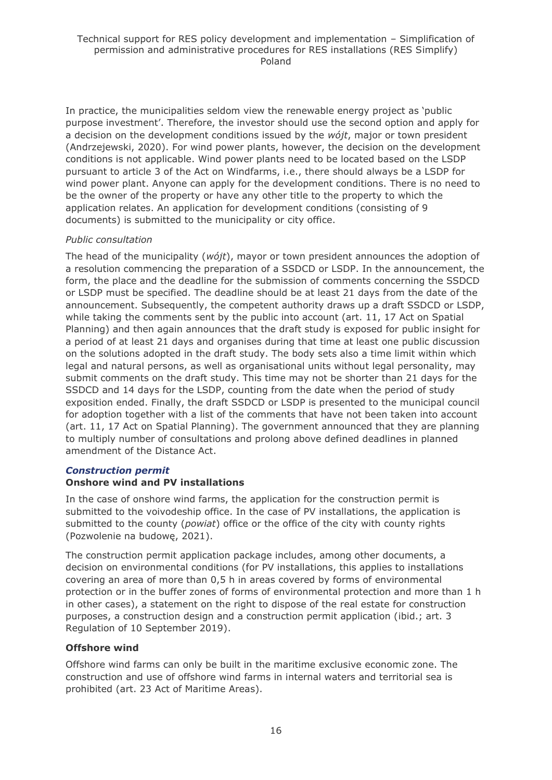In practice, the municipalities seldom view the renewable energy project as 'public purpose investment'. Therefore, the investor should use the second option and apply for a decision on the development conditions issued by the *wójt*, major or town president (Andrzejewski, 2020). For wind power plants, however, the decision on the development conditions is not applicable. Wind power plants need to be located based on the LSDP pursuant to article 3 of the Act on Windfarms, i.e., there should always be a LSDP for wind power plant. Anyone can apply for the development conditions. There is no need to be the owner of the property or have any other title to the property to which the application relates. An application for development conditions (consisting of 9 documents) is submitted to the municipality or city office.

#### *Public consultation*

The head of the municipality (*wójt*), mayor or town president announces the adoption of a resolution commencing the preparation of a SSDCD or LSDP. In the announcement, the form, the place and the deadline for the submission of comments concerning the SSDCD or LSDP must be specified. The deadline should be at least 21 days from the date of the announcement. Subsequently, the competent authority draws up a draft SSDCD or LSDP, while taking the comments sent by the public into account (art. 11, 17 Act on Spatial Planning) and then again announces that the draft study is exposed for public insight for a period of at least 21 days and organises during that time at least one public discussion on the solutions adopted in the draft study. The body sets also a time limit within which legal and natural persons, as well as organisational units without legal personality, may submit comments on the draft study. This time may not be shorter than 21 days for the SSDCD and 14 days for the LSDP, counting from the date when the period of study exposition ended. Finally, the draft SSDCD or LSDP is presented to the municipal council for adoption together with a list of the comments that have not been taken into account (art. 11, 17 Act on Spatial Planning). The government announced that they are planning to multiply number of consultations and prolong above defined deadlines in planned amendment of the Distance Act.

## *Construction permit*

## **Onshore wind and PV installations**

In the case of onshore wind farms, the application for the construction permit is submitted to the voivodeship office. In the case of PV installations, the application is submitted to the county (*powiat*) office or the office of the city with county rights (Pozwolenie na budowę, 2021).

The construction permit application package includes, among other documents, a decision on environmental conditions (for PV installations, this applies to installations covering an area of more than 0,5 h in areas covered by forms of environmental protection or in the buffer zones of forms of environmental protection and more than 1 h in other cases), a statement on the right to dispose of the real estate for construction purposes, a construction design and a construction permit application (ibid.; art. 3 Regulation of 10 September 2019).

## **Offshore wind**

Offshore wind farms can only be built in the maritime exclusive economic zone. The construction and use of offshore wind farms in internal waters and territorial sea is prohibited (art. 23 Act of Maritime Areas).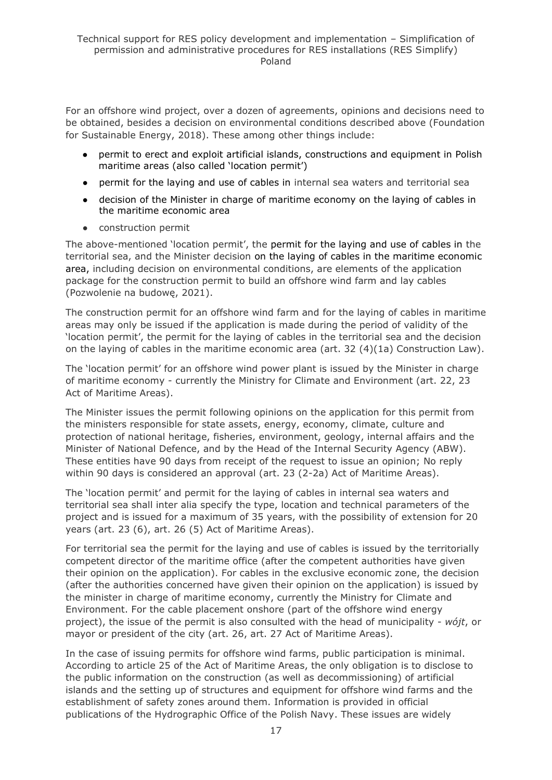For an offshore wind project, over a dozen of agreements, opinions and decisions need to be obtained, besides a decision on environmental conditions described above (Foundation for Sustainable Energy, 2018). These among other things include:

- permit to erect and exploit artificial islands, constructions and equipment in Polish maritime areas (also called 'location permit')
- permit for the laying and use of cables in internal sea waters and territorial sea
- decision of the Minister in charge of maritime economy on the laying of cables in the maritime economic area
- construction permit

The above-mentioned 'location permit', the permit for the laying and use of cables in the territorial sea, and the Minister decision on the laying of cables in the maritime economic area, including decision on environmental conditions, are elements of the application package for the construction permit to build an offshore wind farm and lay cables (Pozwolenie na budowę, 2021).

The construction permit for an offshore wind farm and for the laying of cables in maritime areas may only be issued if the application is made during the period of validity of the 'location permit', the permit for the laying of cables in the territorial sea and the decision on the laying of cables in the maritime economic area (art. 32 (4)(1a) Construction Law).

The 'location permit' for an offshore wind power plant is issued by the Minister in charge of maritime economy - currently the Ministry for Climate and Environment (art. 22, 23 Act of Maritime Areas).

The Minister issues the permit following opinions on the application for this permit from the ministers responsible for state assets, energy, economy, climate, culture and protection of national heritage, fisheries, environment, geology, internal affairs and the Minister of National Defence, and by the Head of the Internal Security Agency (ABW). These entities have 90 days from receipt of the request to issue an opinion; No reply within 90 days is considered an approval (art. 23 (2-2a) Act of Maritime Areas).

The 'location permit' and permit for the laying of cables in internal sea waters and territorial sea shall inter alia specify the type, location and technical parameters of the project and is issued for a maximum of 35 years, with the possibility of extension for 20 years (art. 23 (6), art. 26 (5) Act of Maritime Areas).

For territorial sea the permit for the laying and use of cables is issued by the territorially competent director of the maritime office (after the competent authorities have given their opinion on the application). For cables in the exclusive economic zone, the decision (after the authorities concerned have given their opinion on the application) is issued by the minister in charge of maritime economy, currently the Ministry for Climate and Environment. For the cable placement onshore (part of the offshore wind energy project), the issue of the permit is also consulted with the head of municipality - *wójt*, or mayor or president of the city (art. 26, art. 27 Act of Maritime Areas).

In the case of issuing permits for offshore wind farms, public participation is minimal. According to article 25 of the Act of Maritime Areas, the only obligation is to disclose to the public information on the construction (as well as decommissioning) of artificial islands and the setting up of structures and equipment for offshore wind farms and the establishment of safety zones around them. Information is provided in official publications of the Hydrographic Office of the Polish Navy. These issues are widely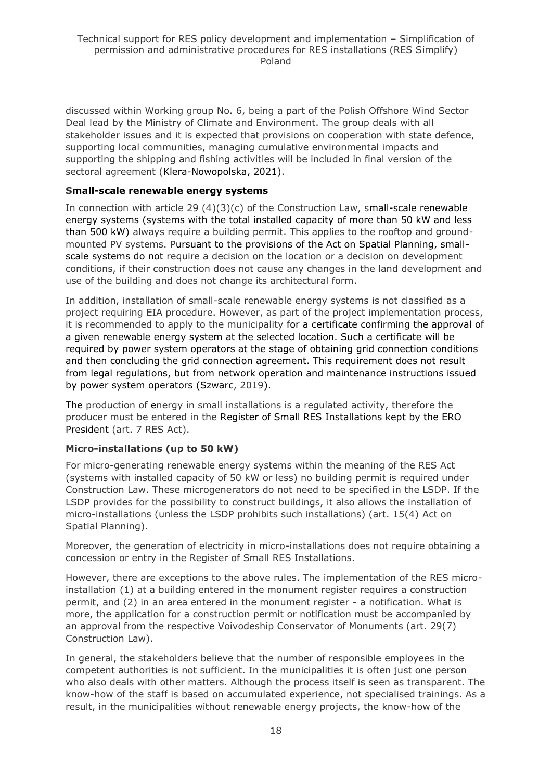discussed within Working group No. 6, being a part of the Polish Offshore Wind Sector Deal lead by the Ministry of Climate and Environment. The group deals with all stakeholder issues and it is expected that provisions on cooperation with state defence, supporting local communities, managing cumulative environmental impacts and supporting the shipping and fishing activities will be included in final version of the sectoral agreement (Klera-Nowopolska, 2021).

#### **Small-scale renewable energy systems**

In connection with article 29  $(4)(3)(c)$  of the Construction Law, small-scale renewable energy systems (systems with the total installed capacity of more than 50 kW and less than 500 kW) always require a building permit. This applies to the rooftop and groundmounted PV systems. Pursuant to the provisions of the Act on Spatial Planning, smallscale systems do not require a decision on the location or a decision on development conditions, if their construction does not cause any changes in the land development and use of the building and does not change its architectural form.

In addition, installation of small-scale renewable energy systems is not classified as a project requiring EIA procedure. However, as part of the project implementation process, it is recommended to apply to the municipality for a certificate confirming the approval of a given renewable energy system at the selected location. Such a certificate will be required by power system operators at the stage of obtaining grid connection conditions and then concluding the grid connection agreement. This requirement does not result from legal regulations, but from network operation and maintenance instructions issued by power system operators (Szwarc, 2019).

The production of energy in small installations is a regulated activity, therefore the producer must be entered in the Register of Small RES Installations kept by the ERO President (art. 7 RES Act).

## **Micro-installations (up to 50 kW)**

For micro-generating renewable energy systems within the meaning of the RES Act (systems with installed capacity of 50 kW or less) no building permit is required under Construction Law. These microgenerators do not need to be specified in the LSDP. If the LSDP provides for the possibility to construct buildings, it also allows the installation of micro-installations (unless the LSDP prohibits such installations) (art. 15(4) Act on Spatial Planning).

Moreover, the generation of electricity in micro-installations does not require obtaining a concession or entry in the Register of Small RES Installations.

However, there are exceptions to the above rules. The implementation of the RES microinstallation (1) at a building entered in the monument register requires a construction permit, and (2) in an area entered in the monument register - a notification. What is more, the application for a construction permit or notification must be accompanied by an approval from the respective Voivodeship Conservator of Monuments (art. 29(7) Construction Law).

In general, the stakeholders believe that the number of responsible employees in the competent authorities is not sufficient. In the municipalities it is often just one person who also deals with other matters. Although the process itself is seen as transparent. The know-how of the staff is based on accumulated experience, not specialised trainings. As a result, in the municipalities without renewable energy projects, the know-how of the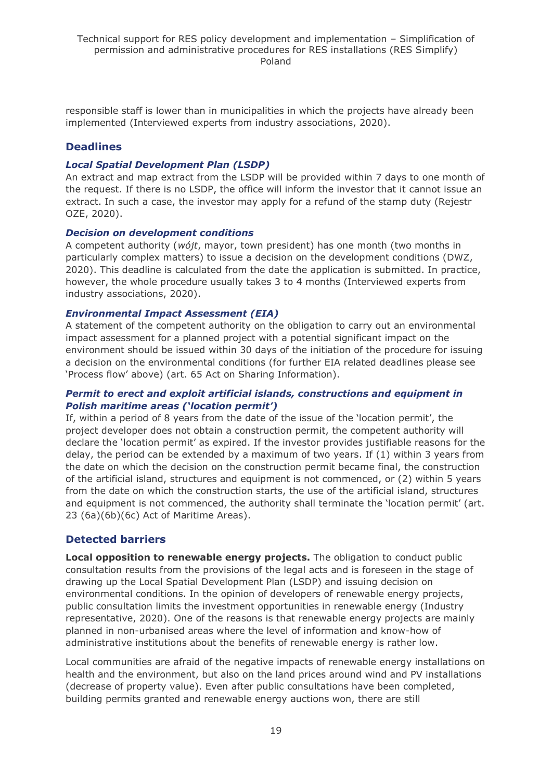responsible staff is lower than in municipalities in which the projects have already been implemented (Interviewed experts from industry associations, 2020).

#### **Deadlines**

#### *Local Spatial Development Plan (LSDP)*

An extract and map extract from the LSDP will be provided within 7 days to one month of the request. If there is no LSDP, the office will inform the investor that it cannot issue an extract. In such a case, the investor may apply for a refund of the stamp duty (Rejestr OZE, 2020).

#### *Decision on development conditions*

A competent authority (*wójt*, mayor, town president) has one month (two months in particularly complex matters) to issue a decision on the development conditions (DWZ, 2020). This deadline is calculated from the date the application is submitted. In practice, however, the whole procedure usually takes 3 to 4 months (Interviewed experts from industry associations, 2020).

#### *Environmental Impact Assessment (EIA)*

A statement of the competent authority on the obligation to carry out an environmental impact assessment for a planned project with a potential significant impact on the environment should be issued within 30 days of the initiation of the procedure for issuing a decision on the environmental conditions (for further EIA related deadlines please see 'Process flow' above) (art. 65 Act on Sharing Information).

#### *Permit to erect and exploit artificial islands, constructions and equipment in Polish maritime areas ('location permit')*

If, within a period of 8 years from the date of the issue of the 'location permit', the project developer does not obtain a construction permit, the competent authority will declare the 'location permit' as expired. If the investor provides justifiable reasons for the delay, the period can be extended by a maximum of two years. If (1) within 3 years from the date on which the decision on the construction permit became final, the construction of the artificial island, structures and equipment is not commenced, or (2) within 5 years from the date on which the construction starts, the use of the artificial island, structures and equipment is not commenced, the authority shall terminate the 'location permit' (art. 23 (6a)(6b)(6c) Act of Maritime Areas).

## **Detected barriers**

**Local opposition to renewable energy projects.** The obligation to conduct public consultation results from the provisions of the legal acts and is foreseen in the stage of drawing up the Local Spatial Development Plan (LSDP) and issuing decision on environmental conditions. In the opinion of developers of renewable energy projects, public consultation limits the investment opportunities in renewable energy (Industry representative, 2020). One of the reasons is that renewable energy projects are mainly planned in non-urbanised areas where the level of information and know-how of administrative institutions about the benefits of renewable energy is rather low.

Local communities are afraid of the negative impacts of renewable energy installations on health and the environment, but also on the land prices around wind and PV installations (decrease of property value). Even after public consultations have been completed, building permits granted and renewable energy auctions won, there are still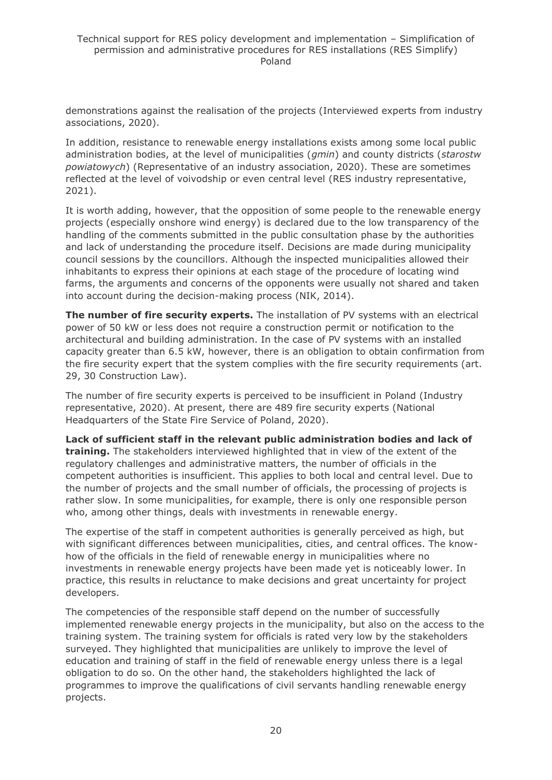demonstrations against the realisation of the projects (Interviewed experts from industry associations, 2020).

In addition, resistance to renewable energy installations exists among some local public administration bodies, at the level of municipalities (*gmin*) and county districts (*starostw powiatowych*) (Representative of an industry association, 2020). These are sometimes reflected at the level of voivodship or even central level (RES industry representative, 2021).

It is worth adding, however, that the opposition of some people to the renewable energy projects (especially onshore wind energy) is declared due to the low transparency of the handling of the comments submitted in the public consultation phase by the authorities and lack of understanding the procedure itself. Decisions are made during municipality council sessions by the councillors. Although the inspected municipalities allowed their inhabitants to express their opinions at each stage of the procedure of locating wind farms, the arguments and concerns of the opponents were usually not shared and taken into account during the decision-making process (NIK, 2014).

**The number of fire security experts.** The installation of PV systems with an electrical power of 50 kW or less does not require a construction permit or notification to the architectural and building administration. In the case of PV systems with an installed capacity greater than 6.5 kW, however, there is an obligation to obtain confirmation from the fire security expert that the system complies with the fire security requirements (art. 29, 30 Construction Law).

The number of fire security experts is perceived to be insufficient in Poland (Industry representative, 2020). At present, there are 489 fire security experts (National Headquarters of the State Fire Service of Poland, 2020).

**Lack of sufficient staff in the relevant public administration bodies and lack of training.** The stakeholders interviewed highlighted that in view of the extent of the regulatory challenges and administrative matters, the number of officials in the competent authorities is insufficient. This applies to both local and central level. Due to the number of projects and the small number of officials, the processing of projects is rather slow. In some municipalities, for example, there is only one responsible person who, among other things, deals with investments in renewable energy.

The expertise of the staff in competent authorities is generally perceived as high, but with significant differences between municipalities, cities, and central offices. The knowhow of the officials in the field of renewable energy in municipalities where no investments in renewable energy projects have been made yet is noticeably lower. In practice, this results in reluctance to make decisions and great uncertainty for project developers.

The competencies of the responsible staff depend on the number of successfully implemented renewable energy projects in the municipality, but also on the access to the training system. The training system for officials is rated very low by the stakeholders surveyed. They highlighted that municipalities are unlikely to improve the level of education and training of staff in the field of renewable energy unless there is a legal obligation to do so. On the other hand, the stakeholders highlighted the lack of programmes to improve the qualifications of civil servants handling renewable energy projects.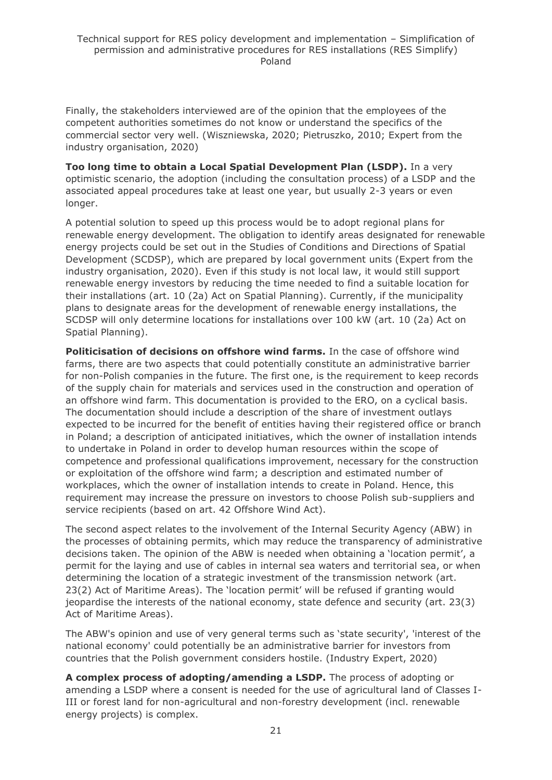Finally, the stakeholders interviewed are of the opinion that the employees of the competent authorities sometimes do not know or understand the specifics of the commercial sector very well. (Wiszniewska, 2020; Pietruszko, 2010; Expert from the industry organisation, 2020)

**Too long time to obtain a Local Spatial Development Plan (LSDP).** In a very optimistic scenario, the adoption (including the consultation process) of a LSDP and the associated appeal procedures take at least one year, but usually 2-3 years or even longer.

A potential solution to speed up this process would be to adopt regional plans for renewable energy development. The obligation to identify areas designated for renewable energy projects could be set out in the Studies of Conditions and Directions of Spatial Development (SCDSP), which are prepared by local government units (Expert from the industry organisation, 2020). Even if this study is not local law, it would still support renewable energy investors by reducing the time needed to find a suitable location for their installations (art. 10 (2a) Act on Spatial Planning). Currently, if the municipality plans to designate areas for the development of renewable energy installations, the SCDSP will only determine locations for installations over 100 kW (art. 10 (2a) Act on Spatial Planning).

**Politicisation of decisions on offshore wind farms.** In the case of offshore wind farms, there are two aspects that could potentially constitute an administrative barrier for non-Polish companies in the future. The first one, is the requirement to keep records of the supply chain for materials and services used in the construction and operation of an offshore wind farm. This documentation is provided to the ERO, on a cyclical basis. The documentation should include a description of the share of investment outlays expected to be incurred for the benefit of entities having their registered office or branch in Poland; a description of anticipated initiatives, which the owner of installation intends to undertake in Poland in order to develop human resources within the scope of competence and professional qualifications improvement, necessary for the construction or exploitation of the offshore wind farm; a description and estimated number of workplaces, which the owner of installation intends to create in Poland. Hence, this requirement may increase the pressure on investors to choose Polish sub-suppliers and service recipients (based on art. 42 Offshore Wind Act).

The second aspect relates to the involvement of the Internal Security Agency (ABW) in the processes of obtaining permits, which may reduce the transparency of administrative decisions taken. The opinion of the ABW is needed when obtaining a 'location permit', a permit for the laying and use of cables in internal sea waters and territorial sea, or when determining the location of a strategic investment of the transmission network (art. 23(2) Act of Maritime Areas). The 'location permit' will be refused if granting would jeopardise the interests of the national economy, state defence and security (art. 23(3) Act of Maritime Areas).

The ABW's opinion and use of very general terms such as 'state security', 'interest of the national economy' could potentially be an administrative barrier for investors from countries that the Polish government considers hostile. (Industry Expert, 2020)

**A complex process of adopting/amending a LSDP.** The process of adopting or amending a LSDP where a consent is needed for the use of agricultural land of Classes I-III or forest land for non-agricultural and non-forestry development (incl. renewable energy projects) is complex.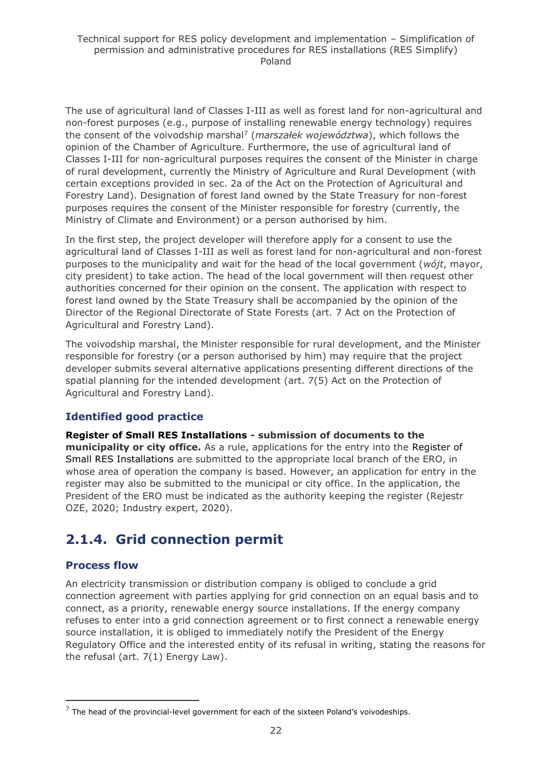The use of agricultural land of Classes I-III as well as forest land for non-agricultural and non-forest purposes (e.g., purpose of installing renewable energy technology) requires the consent of the voivodship marshal<sup>7</sup> (*marszałek województwa*), which follows the opinion of the Chamber of Agriculture. Furthermore, the use of agricultural land of Classes I-III for non-agricultural purposes requires the consent of the Minister in charge of rural development, currently the Ministry of Agriculture and Rural Development (with certain exceptions provided in sec. 2a of the Act on the Protection of Agricultural and Forestry Land). Designation of forest land owned by the State Treasury for non-forest purposes requires the consent of the Minister responsible for forestry (currently, the Ministry of Climate and Environment) or a person authorised by him.

In the first step, the project developer will therefore apply for a consent to use the agricultural land of Classes I-III as well as forest land for non-agricultural and non-forest purposes to the municipality and wait for the head of the local government (*wójt*, mayor, city president) to take action. The head of the local government will then request other authorities concerned for their opinion on the consent. The application with respect to forest land owned by the State Treasury shall be accompanied by the opinion of the Director of the Regional Directorate of State Forests (art. 7 Act on the Protection of Agricultural and Forestry Land).

The voivodship marshal, the Minister responsible for rural development, and the Minister responsible for forestry (or a person authorised by him) may require that the project developer submits several alternative applications presenting different directions of the spatial planning for the intended development (art. 7(5) Act on the Protection of Agricultural and Forestry Land).

## **Identified good practice**

**Register of Small RES Installations - submission of documents to the municipality or city office.** As a rule, applications for the entry into the Register of Small RES Installations are submitted to the appropriate local branch of the ERO, in whose area of operation the company is based. However, an application for entry in the register may also be submitted to the municipal or city office. In the application, the President of the ERO must be indicated as the authority keeping the register (Rejestr OZE, 2020; Industry expert, 2020).

## <span id="page-21-0"></span>**2.1.4. Grid connection permit**

## **Process flow**

An electricity transmission or distribution company is obliged to conclude a grid connection agreement with parties applying for grid connection on an equal basis and to connect, as a priority, renewable energy source installations. If the energy company refuses to enter into a grid connection agreement or to first connect a renewable energy source installation, it is obliged to immediately notify the President of the Energy Regulatory Office and the interested entity of its refusal in writing, stating the reasons for the refusal (art. 7(1) Energy Law).

 $7$  The head of the provincial-level government for each of the sixteen Poland's voivodeships.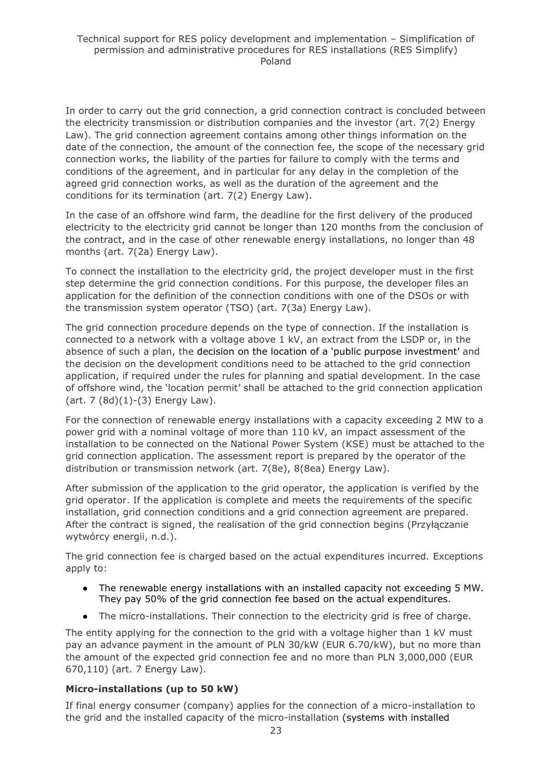In order to carry out the grid connection, a grid connection contract is concluded between the electricity transmission or distribution companies and the investor (art. 7(2) Energy Law). The grid connection agreement contains among other things information on the date of the connection, the amount of the connection fee, the scope of the necessary grid connection works, the liability of the parties for failure to comply with the terms and conditions of the agreement, and in particular for any delay in the completion of the agreed grid connection works, as well as the duration of the agreement and the conditions for its termination (art. 7(2) Energy Law).

In the case of an offshore wind farm, the deadline for the first delivery of the produced electricity to the electricity grid cannot be longer than 120 months from the conclusion of the contract, and in the case of other renewable energy installations, no longer than 48 months (art. 7(2a) Energy Law).

To connect the installation to the electricity grid, the project developer must in the first step determine the grid connection conditions. For this purpose, the developer files an application for the definition of the connection conditions with one of the DSOs or with the transmission system operator (TSO) (art. 7(3a) Energy Law).

The grid connection procedure depends on the type of connection. If the installation is connected to a network with a voltage above 1 kV, an extract from the LSDP or, in the absence of such a plan, the decision on the location of a 'public purpose investment' and the decision on the development conditions need to be attached to the grid connection application, if required under the rules for planning and spatial development. In the case of offshore wind, the 'location permit' shall be attached to the grid connection application  $(art. 7 (8d)(1)-(3)$  Energy Law).

For the connection of renewable energy installations with a capacity exceeding 2 MW to a power grid with a nominal voltage of more than 110 kV, an impact assessment of the installation to be connected on the National Power System (KSE) must be attached to the grid connection application. The assessment report is prepared by the operator of the distribution or transmission network (art. 7(8e), 8(8ea) Energy Law).

After submission of the application to the grid operator, the application is verified by the grid operator. If the application is complete and meets the requirements of the specific installation, grid connection conditions and a grid connection agreement are prepared. After the contract is signed, the realisation of the grid connection begins (Przyłączanie wytwórcy energii, n.d.).

The grid connection fee is charged based on the actual expenditures incurred. Exceptions apply to:

- The renewable energy installations with an installed capacity not exceeding 5 MW. They pay 50% of the grid connection fee based on the actual expenditures.
- The micro-installations. Their connection to the electricity grid is free of charge.

The entity applying for the connection to the grid with a voltage higher than 1 kV must pay an advance payment in the amount of PLN 30/kW (EUR 6.70/kW), but no more than the amount of the expected grid connection fee and no more than PLN 3,000,000 (EUR 670,110) (art. 7 Energy Law).

## **Micro-installations (up to 50 kW)**

If final energy consumer (company) applies for the connection of a micro-installation to the grid and the installed capacity of the micro-installation (systems with installed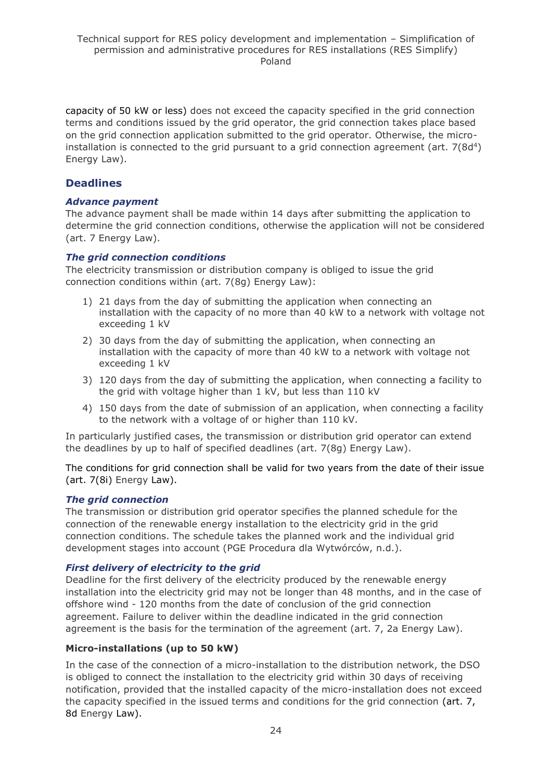capacity of 50 kW or less) does not exceed the capacity specified in the grid connection terms and conditions issued by the grid operator, the grid connection takes place based on the grid connection application submitted to the grid operator. Otherwise, the microinstallation is connected to the grid pursuant to a grid connection agreement (art.  $7(8d^4)$ ) Energy Law).

## **Deadlines**

#### *Advance payment*

The advance payment shall be made within 14 days after submitting the application to determine the grid connection conditions, otherwise the application will not be considered (art. 7 Energy Law).

#### *The grid connection conditions*

The electricity transmission or distribution company is obliged to issue the grid connection conditions within (art. 7(8g) Energy Law):

- 1) 21 days from the day of submitting the application when connecting an installation with the capacity of no more than 40 kW to a network with voltage not exceeding 1 kV
- 2) 30 days from the day of submitting the application, when connecting an installation with the capacity of more than 40 kW to a network with voltage not exceeding 1 kV
- 3) 120 days from the day of submitting the application, when connecting a facility to the grid with voltage higher than 1 kV, but less than 110 kV
- 4) 150 days from the date of submission of an application, when connecting a facility to the network with a voltage of or higher than 110 kV.

In particularly justified cases, the transmission or distribution grid operator can extend the deadlines by up to half of specified deadlines (art. 7(8g) Energy Law).

The conditions for grid connection shall be valid for two years from the date of their issue (art. 7(8i) Energy Law).

#### *The grid connection*

The transmission or distribution grid operator specifies the planned schedule for the connection of the renewable energy installation to the electricity grid in the grid connection conditions. The schedule takes the planned work and the individual grid development stages into account (PGE Procedura dla Wytwórców, n.d.).

#### *First delivery of electricity to the grid*

Deadline for the first delivery of the electricity produced by the renewable energy installation into the electricity grid may not be longer than 48 months, and in the case of offshore wind - 120 months from the date of conclusion of the grid connection agreement. Failure to deliver within the deadline indicated in the grid connection agreement is the basis for the termination of the agreement (art. 7, 2a Energy Law).

## **Micro-installations (up to 50 kW)**

In the case of the connection of a micro-installation to the distribution network, the DSO is obliged to connect the installation to the electricity grid within 30 days of receiving notification, provided that the installed capacity of the micro-installation does not exceed the capacity specified in the issued terms and conditions for the grid connection (art. 7, 8d Energy Law).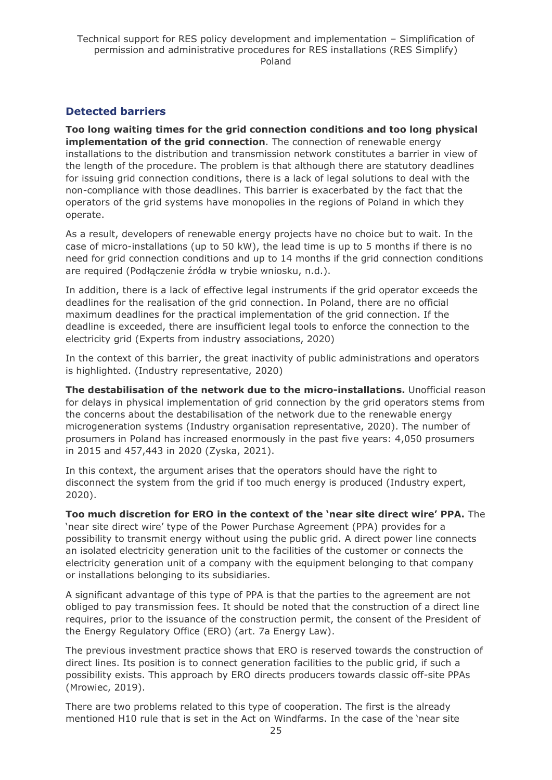## **Detected barriers**

**Too long waiting times for the grid connection conditions and too long physical implementation of the grid connection**. The connection of renewable energy installations to the distribution and transmission network constitutes a barrier in view of the length of the procedure. The problem is that although there are statutory deadlines for issuing grid connection conditions, there is a lack of legal solutions to deal with the non-compliance with those deadlines. This barrier is exacerbated by the fact that the operators of the grid systems have monopolies in the regions of Poland in which they operate.

As a result, developers of renewable energy projects have no choice but to wait. In the case of micro-installations (up to 50 kW), the lead time is up to 5 months if there is no need for grid connection conditions and up to 14 months if the grid connection conditions are required (Podłączenie źródła w trybie wniosku, n.d.).

In addition, there is a lack of effective legal instruments if the grid operator exceeds the deadlines for the realisation of the grid connection. In Poland, there are no official maximum deadlines for the practical implementation of the grid connection. If the deadline is exceeded, there are insufficient legal tools to enforce the connection to the electricity grid (Experts from industry associations, 2020)

In the context of this barrier, the great inactivity of public administrations and operators is highlighted. (Industry representative, 2020)

**The destabilisation of the network due to the micro-installations.** Unofficial reason for delays in physical implementation of grid connection by the grid operators stems from the concerns about the destabilisation of the network due to the renewable energy microgeneration systems (Industry organisation representative, 2020). The number of prosumers in Poland has increased enormously in the past five years: 4,050 prosumers in 2015 and 457,443 in 2020 (Zyska, 2021).

In this context, the argument arises that the operators should have the right to disconnect the system from the grid if too much energy is produced (Industry expert, 2020).

**Too much discretion for ERO in the context of the 'near site direct wire' PPA.** The 'near site direct wire' type of the Power Purchase Agreement (PPA) provides for a possibility to transmit energy without using the public grid. A direct power line connects an isolated electricity generation unit to the facilities of the customer or connects the electricity generation unit of a company with the equipment belonging to that company or installations belonging to its subsidiaries.

A significant advantage of this type of PPA is that the parties to the agreement are not obliged to pay transmission fees. It should be noted that the construction of a direct line requires, prior to the issuance of the construction permit, the consent of the President of the Energy Regulatory Office (ERO) (art. 7a Energy Law).

The previous investment practice shows that ERO is reserved towards the construction of direct lines. Its position is to connect generation facilities to the public grid, if such a possibility exists. This approach by ERO directs producers towards classic off-site PPAs (Mrowiec, 2019).

There are two problems related to this type of cooperation. The first is the already mentioned H10 rule that is set in the Act on Windfarms. In the case of the 'near site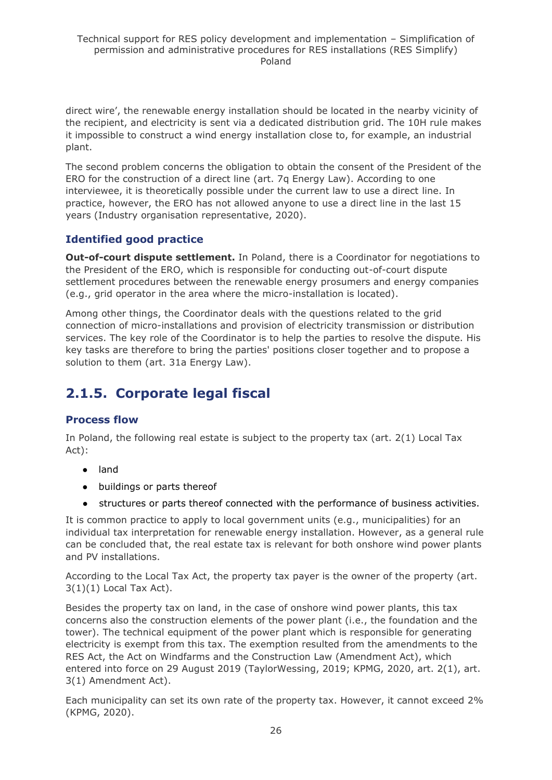direct wire', the renewable energy installation should be located in the nearby vicinity of the recipient, and electricity is sent via a dedicated distribution grid. The 10H rule makes it impossible to construct a wind energy installation close to, for example, an industrial plant.

The second problem concerns the obligation to obtain the consent of the President of the ERO for the construction of a direct line (art. 7q Energy Law). According to one interviewee, it is theoretically possible under the current law to use a direct line. In practice, however, the ERO has not allowed anyone to use a direct line in the last 15 years (Industry organisation representative, 2020).

## **Identified good practice**

**Out-of-court dispute settlement.** In Poland, there is a Coordinator for negotiations to the President of the ERO, which is responsible for conducting out-of-court dispute settlement procedures between the renewable energy prosumers and energy companies (e.g., grid operator in the area where the micro-installation is located).

Among other things, the Coordinator deals with the questions related to the grid connection of micro-installations and provision of electricity transmission or distribution services. The key role of the Coordinator is to help the parties to resolve the dispute. His key tasks are therefore to bring the parties' positions closer together and to propose a solution to them (art. 31a Energy Law).

## <span id="page-25-0"></span>**2.1.5. Corporate legal fiscal**

## **Process flow**

In Poland, the following real estate is subject to the property tax (art. 2(1) Local Tax Act):

- land
- buildings or parts thereof
- structures or parts thereof connected with the performance of business activities.

It is common practice to apply to local government units (e.g., municipalities) for an individual tax interpretation for renewable energy installation. However, as a general rule can be concluded that, the real estate tax is relevant for both onshore wind power plants and PV installations.

According to the Local Tax Act, the property tax payer is the owner of the property (art.  $3(1)(1)$  Local Tax Act).

Besides the property tax on land, in the case of onshore wind power plants, this tax concerns also the construction elements of the power plant (i.e., the foundation and the tower). The technical equipment of the power plant which is responsible for generating electricity is exempt from this tax. The exemption resulted from the amendments to the RES Act, the Act on Windfarms and the Construction Law (Amendment Act), which entered into force on 29 August 2019 (TaylorWessing, 2019; KPMG, 2020, art. 2(1), art. 3(1) Amendment Act).

Each municipality can set its own rate of the property tax. However, it cannot exceed 2% (KPMG, 2020).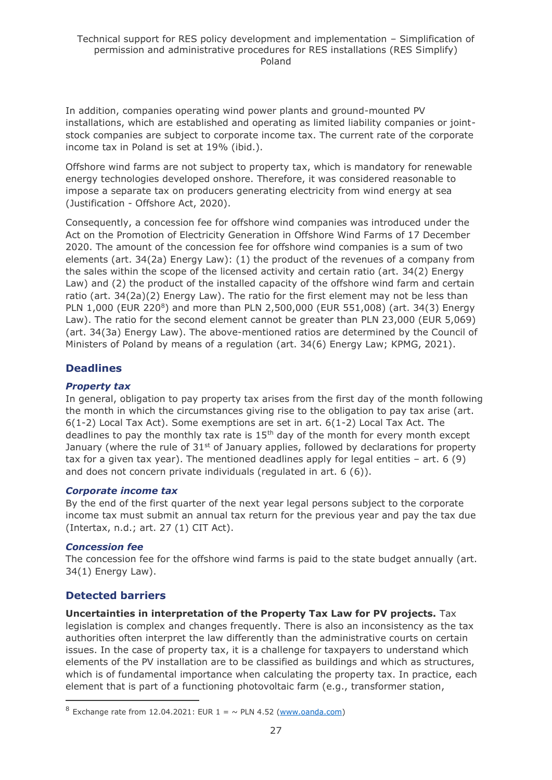In addition, companies operating wind power plants and ground-mounted PV installations, which are established and operating as limited liability companies or jointstock companies are subject to corporate income tax. The current rate of the corporate income tax in Poland is set at 19% (ibid.).

Offshore wind farms are not subject to property tax, which is mandatory for renewable energy technologies developed onshore. Therefore, it was considered reasonable to impose a separate tax on producers generating electricity from wind energy at sea (Justification - Offshore Act, 2020).

Consequently, a concession fee for offshore wind companies was introduced under the Act on the Promotion of Electricity Generation in Offshore Wind Farms of 17 December 2020. The amount of the concession fee for offshore wind companies is a sum of two elements (art. 34(2a) Energy Law): (1) the product of the revenues of a company from the sales within the scope of the licensed activity and certain ratio (art. 34(2) Energy Law) and (2) the product of the installed capacity of the offshore wind farm and certain ratio (art. 34(2a)(2) Energy Law). The ratio for the first element may not be less than PLN 1,000 (EUR 220<sup>8</sup>) and more than PLN 2,500,000 (EUR 551,008) (art. 34(3) Energy Law). The ratio for the second element cannot be greater than PLN 23,000 (EUR 5,069) (art. 34(3a) Energy Law). The above-mentioned ratios are determined by the Council of Ministers of Poland by means of a regulation (art. 34(6) Energy Law; KPMG, 2021).

## **Deadlines**

### *Property tax*

In general, obligation to pay property tax arises from the first day of the month following the month in which the circumstances giving rise to the obligation to pay tax arise (art. 6(1-2) Local Tax Act). Some exemptions are set in art. 6(1-2) Local Tax Act. The deadlines to pay the monthly tax rate is  $15<sup>th</sup>$  day of the month for every month except January (where the rule of  $31<sup>st</sup>$  of January applies, followed by declarations for property tax for a given tax year). The mentioned deadlines apply for legal entities – art. 6 (9) and does not concern private individuals (regulated in art. 6 (6)).

#### *Corporate income tax*

By the end of the first quarter of the next year legal persons subject to the corporate income tax must submit an annual tax return for the previous year and pay the tax due (Intertax, n.d.; art. 27 (1) CIT Act).

#### *Concession fee*

The concession fee for the offshore wind farms is paid to the state budget annually (art. 34(1) Energy Law).

## **Detected barriers**

**Uncertainties in interpretation of the Property Tax Law for PV projects.** Tax legislation is complex and changes frequently. There is also an inconsistency as the tax authorities often interpret the law differently than the administrative courts on certain issues. In the case of property tax, it is a challenge for taxpayers to understand which elements of the PV installation are to be classified as buildings and which as structures, which is of fundamental importance when calculating the property tax. In practice, each element that is part of a functioning photovoltaic farm (e.g., transformer station,

<sup>&</sup>lt;sup>8</sup> Exchange rate from 12.04.2021: EUR  $1 = \sim$  PLN 4.52 [\(www.oanda.com\)](http://www.oanda.com/currency/converter/)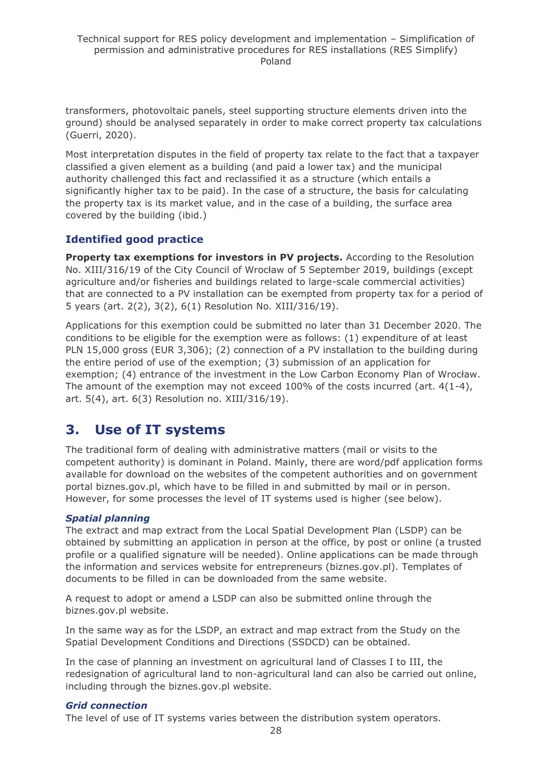transformers, photovoltaic panels, steel supporting structure elements driven into the ground) should be analysed separately in order to make correct property tax calculations (Guerri, 2020).

Most interpretation disputes in the field of property tax relate to the fact that a taxpayer classified a given element as a building (and paid a lower tax) and the municipal authority challenged this fact and reclassified it as a structure (which entails a significantly higher tax to be paid). In the case of a structure, the basis for calculating the property tax is its market value, and in the case of a building, the surface area covered by the building (ibid.)

## **Identified good practice**

**Property tax exemptions for investors in PV projects.** According to the Resolution No. XIII/316/19 of the City Council of Wrocław of 5 September 2019, buildings (except agriculture and/or fisheries and buildings related to large-scale commercial activities) that are connected to a PV installation can be exempted from property tax for a period of 5 years (art. 2(2), 3(2), 6(1) Resolution No. XIII/316/19).

Applications for this exemption could be submitted no later than 31 December 2020. The conditions to be eligible for the exemption were as follows: (1) expenditure of at least PLN 15,000 gross (EUR 3,306); (2) connection of a PV installation to the building during the entire period of use of the exemption; (3) submission of an application for exemption; (4) entrance of the investment in the Low Carbon Economy Plan of Wrocław. The amount of the exemption may not exceed  $100\%$  of the costs incurred (art. 4(1-4), art. 5(4), art. 6(3) Resolution no. XIII/316/19).

## <span id="page-27-0"></span>**3. Use of IT systems**

The traditional form of dealing with administrative matters (mail or visits to the competent authority) is dominant in Poland. Mainly, there are word/pdf application forms available for download on the websites of the competent authorities and on government portal biznes.gov.pl, which have to be filled in and submitted by mail or in person. However, for some processes the level of IT systems used is higher (see below).

#### *Spatial planning*

The extract and map extract from the Local Spatial Development Plan (LSDP) can be obtained by submitting an application in person at the office, by post or online (a trusted profile or a qualified signature will be needed). Online applications can be made through the information and services website for entrepreneurs (biznes.gov.pl). Templates of documents to be filled in can be downloaded from the same website.

A request to adopt or amend a LSDP can also be submitted online through the biznes.gov.pl website.

In the same way as for the LSDP, an extract and map extract from the Study on the Spatial Development Conditions and Directions (SSDCD) can be obtained.

In the case of planning an investment on agricultural land of Classes I to III, the redesignation of agricultural land to non-agricultural land can also be carried out online, including through the biznes.gov.pl website.

#### *Grid connection*

The level of use of IT systems varies between the distribution system operators.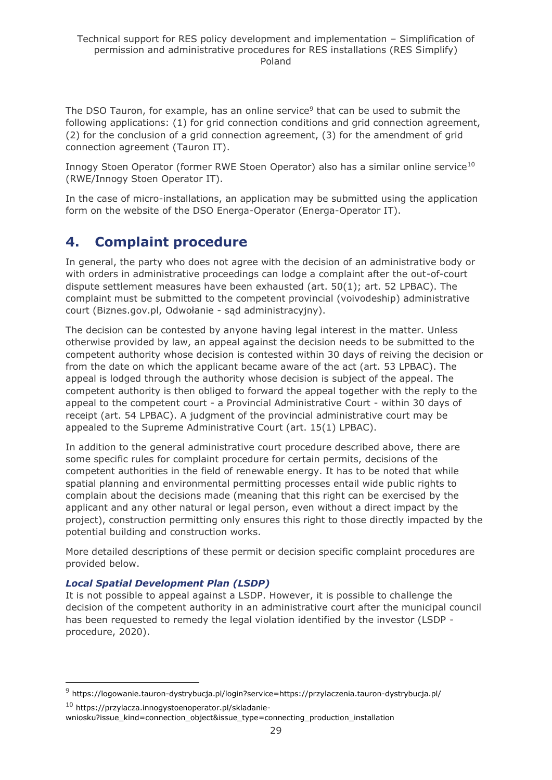The DSO Tauron, for example, has an online service<sup>9</sup> that can be used to submit the following applications: (1) for grid connection conditions and grid connection agreement, (2) for the conclusion of a grid connection agreement, (3) for the amendment of grid connection agreement (Tauron IT).

Innogy Stoen Operator (former RWE Stoen Operator) also has a similar online service<sup>10</sup> (RWE/Innogy Stoen Operator IT).

In the case of micro-installations, an application may be submitted using the application form on the website of the DSO Energa-Operator (Energa-Operator IT).

## <span id="page-28-0"></span>**4. Complaint procedure**

In general, the party who does not agree with the decision of an administrative body or with orders in administrative proceedings can lodge a complaint after the out-of-court dispute settlement measures have been exhausted (art.  $50(1)$ ; art.  $52$  LPBAC). The complaint must be submitted to the competent provincial (voivodeship) administrative court (Biznes.gov.pl, Odwołanie - sąd administracyjny).

The decision can be contested by anyone having legal interest in the matter. Unless otherwise provided by law, an appeal against the decision needs to be submitted to the competent authority whose decision is contested within 30 days of reiving the decision or from the date on which the applicant became aware of the act (art. 53 LPBAC). The appeal is lodged through the authority whose decision is subject of the appeal. The competent authority is then obliged to forward the appeal together with the reply to the appeal to the competent court - a Provincial Administrative Court - within 30 days of receipt (art. 54 LPBAC). A judgment of the provincial administrative court may be appealed to the Supreme Administrative Court (art. 15(1) LPBAC).

In addition to the general administrative court procedure described above, there are some specific rules for complaint procedure for certain permits, decisions of the competent authorities in the field of renewable energy. It has to be noted that while spatial planning and environmental permitting processes entail wide public rights to complain about the decisions made (meaning that this right can be exercised by the applicant and any other natural or legal person, even without a direct impact by the project), construction permitting only ensures this right to those directly impacted by the potential building and construction works.

More detailed descriptions of these permit or decision specific complaint procedures are provided below.

## *Local Spatial Development Plan (LSDP)*

It is not possible to appeal against a LSDP. However, it is possible to challenge the decision of the competent authority in an administrative court after the municipal council has been requested to remedy the legal violation identified by the investor (LSDP procedure, 2020).

<sup>10</sup> [https://przylacza.innogystoenoperator.pl/skladanie-](https://przylacza.innogystoenoperator.pl/skladanie-wniosku?issue_kind=connection_object&issue_type=connecting_production_installation)

<sup>9</sup> <https://logowanie.tauron-dystrybucja.pl/login?service=https://przylaczenia.tauron-dystrybucja.pl/>

[wniosku?issue\\_kind=connection\\_object&issue\\_type=connecting\\_production\\_installation](https://przylacza.innogystoenoperator.pl/skladanie-wniosku?issue_kind=connection_object&issue_type=connecting_production_installation)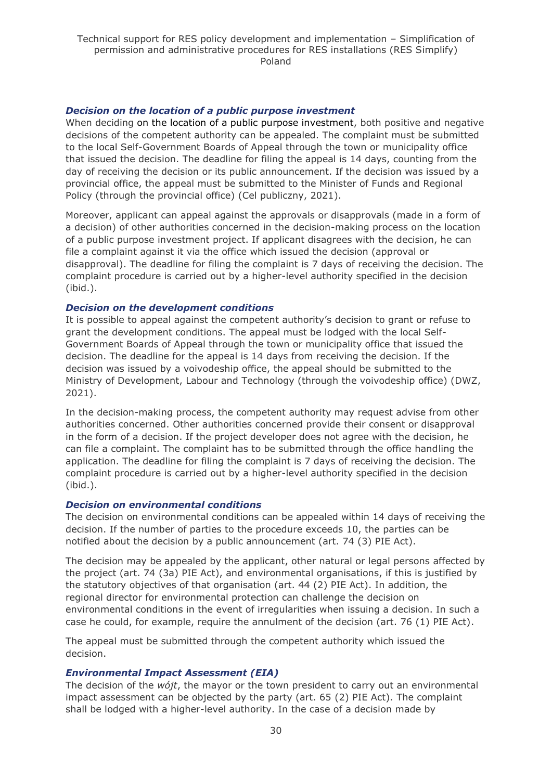#### *Decision on the location of a public purpose investment*

When deciding on the location of a public purpose investment, both positive and negative decisions of the competent authority can be appealed. The complaint must be submitted to the local Self-Government Boards of Appeal through the town or municipality office that issued the decision. The deadline for filing the appeal is 14 days, counting from the day of receiving the decision or its public announcement. If the decision was issued by a provincial office, the appeal must be submitted to the Minister of Funds and Regional Policy (through the provincial office) (Cel publiczny, 2021).

Moreover, applicant can appeal against the approvals or disapprovals (made in a form of a decision) of other authorities concerned in the decision-making process on the location of a public purpose investment project. If applicant disagrees with the decision, he can file a complaint against it via the office which issued the decision (approval or disapproval). The deadline for filing the complaint is 7 days of receiving the decision. The complaint procedure is carried out by a higher-level authority specified in the decision (ibid.).

#### *Decision on the development conditions*

It is possible to appeal against the competent authority's decision to grant or refuse to grant the development conditions. The appeal must be lodged with the local Self-Government Boards of Appeal through the town or municipality office that issued the decision. The deadline for the appeal is 14 days from receiving the decision. If the decision was issued by a voivodeship office, the appeal should be submitted to the Ministry of Development, Labour and Technology (through the voivodeship office) (DWZ, 2021).

In the decision-making process, the competent authority may request advise from other authorities concerned. Other authorities concerned provide their consent or disapproval in the form of a decision. If the project developer does not agree with the decision, he can file a complaint. The complaint has to be submitted through the office handling the application. The deadline for filing the complaint is 7 days of receiving the decision. The complaint procedure is carried out by a higher-level authority specified in the decision (ibid.).

#### *Decision on environmental conditions*

The decision on environmental conditions can be appealed within 14 days of receiving the decision. If the number of parties to the procedure exceeds 10, the parties can be notified about the decision by a public announcement (art. 74 (3) PIE Act).

The decision may be appealed by the applicant, other natural or legal persons affected by the project (art. 74 (3a) PIE Act), and environmental organisations, if this is justified by the statutory objectives of that organisation (art. 44 (2) PIE Act). In addition, the regional director for environmental protection can challenge the decision on environmental conditions in the event of irregularities when issuing a decision. In such a case he could, for example, require the annulment of the decision (art. 76 (1) PIE Act).

The appeal must be submitted through the competent authority which issued the decision.

#### *Environmental Impact Assessment (EIA)*

The decision of the *wójt*, the mayor or the town president to carry out an environmental impact assessment can be objected by the party (art. 65 (2) PIE Act). The complaint shall be lodged with a higher-level authority. In the case of a decision made by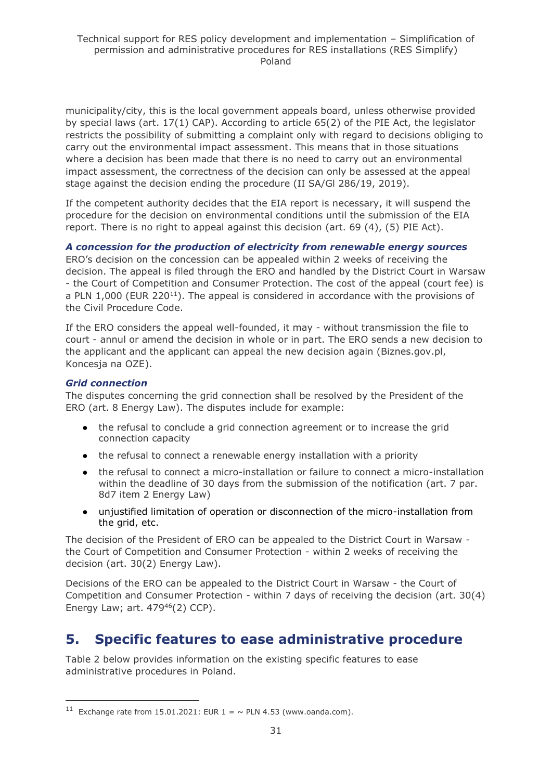municipality/city, this is the local government appeals board, unless otherwise provided by special laws (art. 17(1) CAP). According to article 65(2) of the PIE Act, the legislator restricts the possibility of submitting a complaint only with regard to decisions obliging to carry out the environmental impact assessment. This means that in those situations where a decision has been made that there is no need to carry out an environmental impact assessment, the correctness of the decision can only be assessed at the appeal stage against the decision ending the procedure (II SA/Gl 286/19, 2019).

If the competent authority decides that the EIA report is necessary, it will suspend the procedure for the decision on environmental conditions until the submission of the EIA report. There is no right to appeal against this decision (art. 69 (4), (5) PIE Act).

*A concession for the production of electricity from renewable energy sources* ERO's decision on the concession can be appealed within 2 weeks of receiving the decision. The appeal is filed through the ERO and handled by the District Court in Warsaw - the Court of Competition and Consumer Protection. The cost of the appeal (court fee) is a PLN  $1,000$  (EUR 220<sup>11</sup>). The appeal is considered in accordance with the provisions of the Civil Procedure Code.

If the ERO considers the appeal well-founded, it may - without transmission the file to court - annul or amend the decision in whole or in part. The ERO sends a new decision to the applicant and the applicant can appeal the new decision again (Biznes.gov.pl, Koncesja na OZE).

#### *Grid connection*

The disputes concerning the grid connection shall be resolved by the President of the ERO (art. 8 Energy Law). The disputes include for example:

- the refusal to conclude a grid connection agreement or to increase the grid connection capacity
- the refusal to connect a renewable energy installation with a priority
- the refusal to connect a micro-installation or failure to connect a micro-installation within the deadline of 30 days from the submission of the notification (art. 7 par. 8d7 item 2 Energy Law)
- unjustified limitation of operation or disconnection of the micro-installation from the grid, etc.

The decision of the President of ERO can be appealed to the District Court in Warsaw the Court of Competition and Consumer Protection - within 2 weeks of receiving the decision (art. 30(2) Energy Law).

Decisions of the ERO can be appealed to the District Court in Warsaw - the Court of Competition and Consumer Protection - within 7 days of receiving the decision (art. 30(4) Energy Law; art.  $479^{46}$ (2) CCP).

## <span id="page-30-0"></span>**5. Specific features to ease administrative procedure**

Table 2 below provides information on the existing specific features to ease administrative procedures in Poland.

<sup>&</sup>lt;sup>11</sup> Exchange rate from 15.01.2021: EUR  $1 = \sim$  PLN 4.53 (www.oanda.com).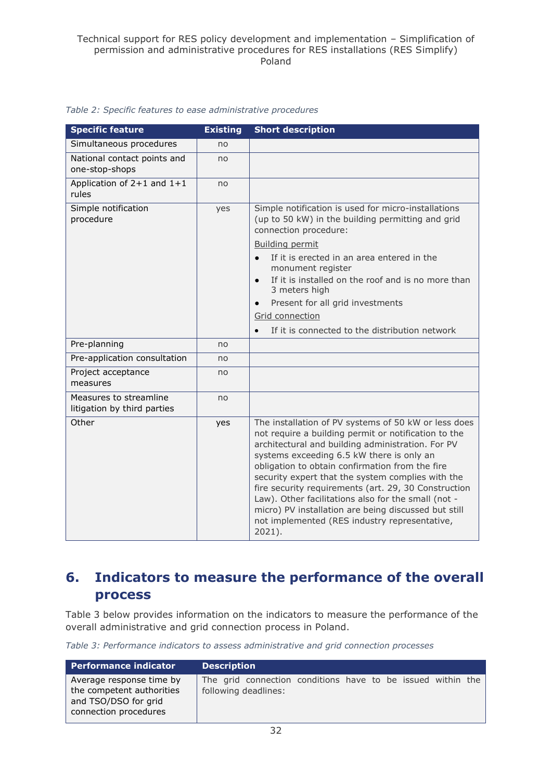| <b>Specific feature</b>                               | <b>Existing</b> | <b>Short description</b>                                                                                                                                                                                                                                                                                                                                                                                                                                                                                                                                    |
|-------------------------------------------------------|-----------------|-------------------------------------------------------------------------------------------------------------------------------------------------------------------------------------------------------------------------------------------------------------------------------------------------------------------------------------------------------------------------------------------------------------------------------------------------------------------------------------------------------------------------------------------------------------|
| Simultaneous procedures                               | no              |                                                                                                                                                                                                                                                                                                                                                                                                                                                                                                                                                             |
| National contact points and<br>one-stop-shops         | no              |                                                                                                                                                                                                                                                                                                                                                                                                                                                                                                                                                             |
| Application of $2+1$ and $1+1$<br>rules               | no              |                                                                                                                                                                                                                                                                                                                                                                                                                                                                                                                                                             |
| Simple notification<br>procedure                      | yes             | Simple notification is used for micro-installations<br>(up to 50 kW) in the building permitting and grid<br>connection procedure:                                                                                                                                                                                                                                                                                                                                                                                                                           |
|                                                       |                 | Building permit                                                                                                                                                                                                                                                                                                                                                                                                                                                                                                                                             |
|                                                       |                 | If it is erected in an area entered in the<br>$\bullet$<br>monument register                                                                                                                                                                                                                                                                                                                                                                                                                                                                                |
|                                                       |                 | If it is installed on the roof and is no more than<br>$\bullet$<br>3 meters high                                                                                                                                                                                                                                                                                                                                                                                                                                                                            |
|                                                       |                 | Present for all grid investments                                                                                                                                                                                                                                                                                                                                                                                                                                                                                                                            |
|                                                       |                 | Grid connection                                                                                                                                                                                                                                                                                                                                                                                                                                                                                                                                             |
|                                                       |                 | If it is connected to the distribution network<br>$\bullet$                                                                                                                                                                                                                                                                                                                                                                                                                                                                                                 |
| Pre-planning                                          | no              |                                                                                                                                                                                                                                                                                                                                                                                                                                                                                                                                                             |
| Pre-application consultation                          | no              |                                                                                                                                                                                                                                                                                                                                                                                                                                                                                                                                                             |
| Project acceptance<br>measures                        | no              |                                                                                                                                                                                                                                                                                                                                                                                                                                                                                                                                                             |
| Measures to streamline<br>litigation by third parties | no              |                                                                                                                                                                                                                                                                                                                                                                                                                                                                                                                                                             |
| Other                                                 | yes             | The installation of PV systems of 50 kW or less does<br>not require a building permit or notification to the<br>architectural and building administration. For PV<br>systems exceeding 6.5 kW there is only an<br>obligation to obtain confirmation from the fire<br>security expert that the system complies with the<br>fire security requirements (art. 29, 30 Construction<br>Law). Other facilitations also for the small (not -<br>micro) PV installation are being discussed but still<br>not implemented (RES industry representative,<br>$2021$ ). |

#### *Table 2: Specific features to ease administrative procedures*

## <span id="page-31-0"></span>**6. Indicators to measure the performance of the overall process**

Table 3 below provides information on the indicators to measure the performance of the overall administrative and grid connection process in Poland.

*Table 3: Performance indicators to assess administrative and grid connection processes*

| Performance indicator                                                      | <b>Description</b>                                          |
|----------------------------------------------------------------------------|-------------------------------------------------------------|
| Average response time by                                                   | The grid connection conditions have to be issued within the |
| the competent authorities<br>and TSO/DSO for grid<br>connection procedures | following deadlines:                                        |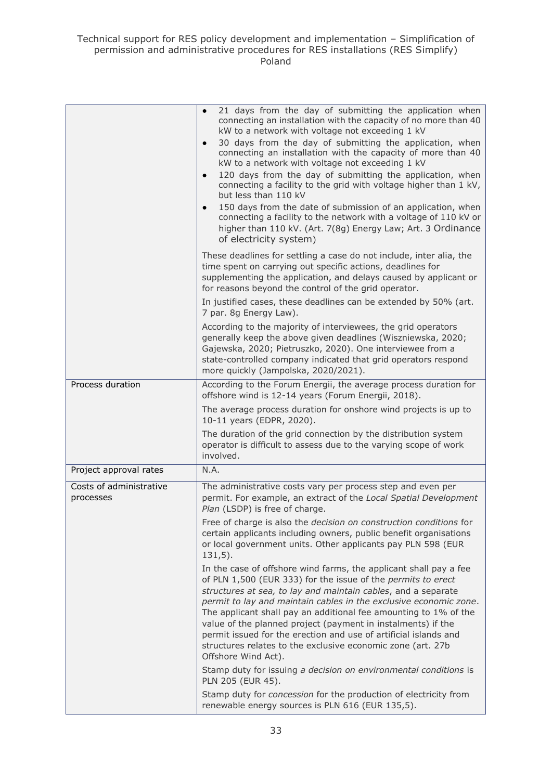|                                      | 21 days from the day of submitting the application when<br>$\bullet$<br>connecting an installation with the capacity of no more than 40<br>kW to a network with voltage not exceeding 1 kV<br>30 days from the day of submitting the application, when<br>$\bullet$<br>connecting an installation with the capacity of more than 40<br>kW to a network with voltage not exceeding 1 kV                                                                                                                                                                                |
|--------------------------------------|-----------------------------------------------------------------------------------------------------------------------------------------------------------------------------------------------------------------------------------------------------------------------------------------------------------------------------------------------------------------------------------------------------------------------------------------------------------------------------------------------------------------------------------------------------------------------|
|                                      | 120 days from the day of submitting the application, when<br>$\bullet$<br>connecting a facility to the grid with voltage higher than 1 kV,<br>but less than 110 kV                                                                                                                                                                                                                                                                                                                                                                                                    |
|                                      | 150 days from the date of submission of an application, when<br>$\bullet$<br>connecting a facility to the network with a voltage of 110 kV or<br>higher than 110 kV. (Art. 7(8g) Energy Law; Art. 3 Ordinance<br>of electricity system)                                                                                                                                                                                                                                                                                                                               |
|                                      | These deadlines for settling a case do not include, inter alia, the<br>time spent on carrying out specific actions, deadlines for<br>supplementing the application, and delays caused by applicant or<br>for reasons beyond the control of the grid operator.                                                                                                                                                                                                                                                                                                         |
|                                      | In justified cases, these deadlines can be extended by 50% (art.<br>7 par. 8g Energy Law).                                                                                                                                                                                                                                                                                                                                                                                                                                                                            |
|                                      | According to the majority of interviewees, the grid operators<br>generally keep the above given deadlines (Wiszniewska, 2020;<br>Gajewska, 2020; Pietruszko, 2020). One interviewee from a<br>state-controlled company indicated that grid operators respond<br>more quickly (Jampolska, 2020/2021).                                                                                                                                                                                                                                                                  |
| Process duration                     | According to the Forum Energii, the average process duration for<br>offshore wind is 12-14 years (Forum Energii, 2018).                                                                                                                                                                                                                                                                                                                                                                                                                                               |
|                                      | The average process duration for onshore wind projects is up to<br>10-11 years (EDPR, 2020).                                                                                                                                                                                                                                                                                                                                                                                                                                                                          |
|                                      | The duration of the grid connection by the distribution system<br>operator is difficult to assess due to the varying scope of work<br>involved.                                                                                                                                                                                                                                                                                                                                                                                                                       |
| Project approval rates               | N.A.                                                                                                                                                                                                                                                                                                                                                                                                                                                                                                                                                                  |
| Costs of administrative<br>processes | The administrative costs vary per process step and even per<br>permit. For example, an extract of the Local Spatial Development<br>Plan (LSDP) is free of charge.                                                                                                                                                                                                                                                                                                                                                                                                     |
|                                      | Free of charge is also the decision on construction conditions for<br>certain applicants including owners, public benefit organisations<br>or local government units. Other applicants pay PLN 598 (EUR<br>$131,5$ ).                                                                                                                                                                                                                                                                                                                                                 |
|                                      | In the case of offshore wind farms, the applicant shall pay a fee<br>of PLN 1,500 (EUR 333) for the issue of the permits to erect<br>structures at sea, to lay and maintain cables, and a separate<br>permit to lay and maintain cables in the exclusive economic zone.<br>The applicant shall pay an additional fee amounting to 1% of the<br>value of the planned project (payment in instalments) if the<br>permit issued for the erection and use of artificial islands and<br>structures relates to the exclusive economic zone (art. 27b<br>Offshore Wind Act). |
|                                      | Stamp duty for issuing a decision on environmental conditions is<br>PLN 205 (EUR 45).                                                                                                                                                                                                                                                                                                                                                                                                                                                                                 |
|                                      | Stamp duty for concession for the production of electricity from<br>renewable energy sources is PLN 616 (EUR 135,5).                                                                                                                                                                                                                                                                                                                                                                                                                                                  |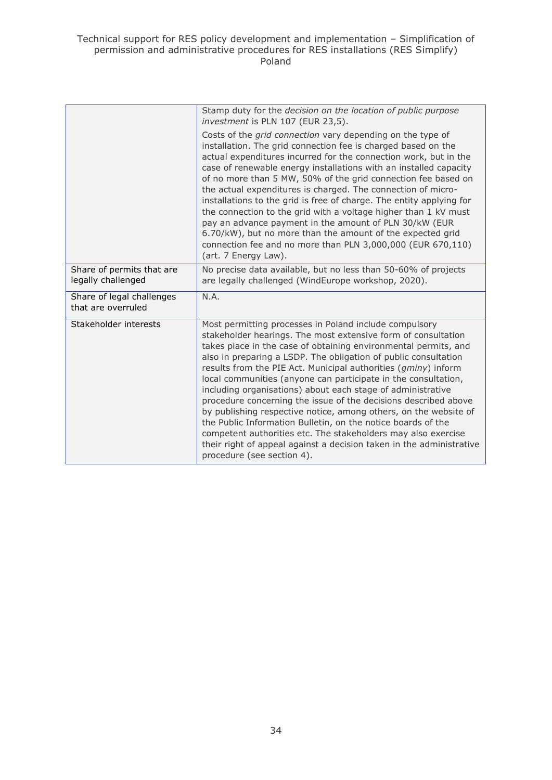|                                                 | Stamp duty for the decision on the location of public purpose<br>investment is PLN 107 (EUR 23,5).<br>Costs of the grid connection vary depending on the type of<br>installation. The grid connection fee is charged based on the<br>actual expenditures incurred for the connection work, but in the<br>case of renewable energy installations with an installed capacity<br>of no more than 5 MW, 50% of the grid connection fee based on<br>the actual expenditures is charged. The connection of micro-<br>installations to the grid is free of charge. The entity applying for<br>the connection to the grid with a voltage higher than 1 kV must<br>pay an advance payment in the amount of PLN 30/kW (EUR<br>6.70/kW), but no more than the amount of the expected grid<br>connection fee and no more than PLN 3,000,000 (EUR 670,110)<br>(art. 7 Energy Law). |
|-------------------------------------------------|-----------------------------------------------------------------------------------------------------------------------------------------------------------------------------------------------------------------------------------------------------------------------------------------------------------------------------------------------------------------------------------------------------------------------------------------------------------------------------------------------------------------------------------------------------------------------------------------------------------------------------------------------------------------------------------------------------------------------------------------------------------------------------------------------------------------------------------------------------------------------|
| Share of permits that are<br>legally challenged | No precise data available, but no less than 50-60% of projects<br>are legally challenged (WindEurope workshop, 2020).                                                                                                                                                                                                                                                                                                                                                                                                                                                                                                                                                                                                                                                                                                                                                 |
| Share of legal challenges<br>that are overruled | N.A.                                                                                                                                                                                                                                                                                                                                                                                                                                                                                                                                                                                                                                                                                                                                                                                                                                                                  |
| Stakeholder interests                           | Most permitting processes in Poland include compulsory<br>stakeholder hearings. The most extensive form of consultation<br>takes place in the case of obtaining environmental permits, and<br>also in preparing a LSDP. The obligation of public consultation<br>results from the PIE Act. Municipal authorities (gminy) inform<br>local communities (anyone can participate in the consultation,<br>including organisations) about each stage of administrative<br>procedure concerning the issue of the decisions described above<br>by publishing respective notice, among others, on the website of<br>the Public Information Bulletin, on the notice boards of the<br>competent authorities etc. The stakeholders may also exercise<br>their right of appeal against a decision taken in the administrative<br>procedure (see section 4).                        |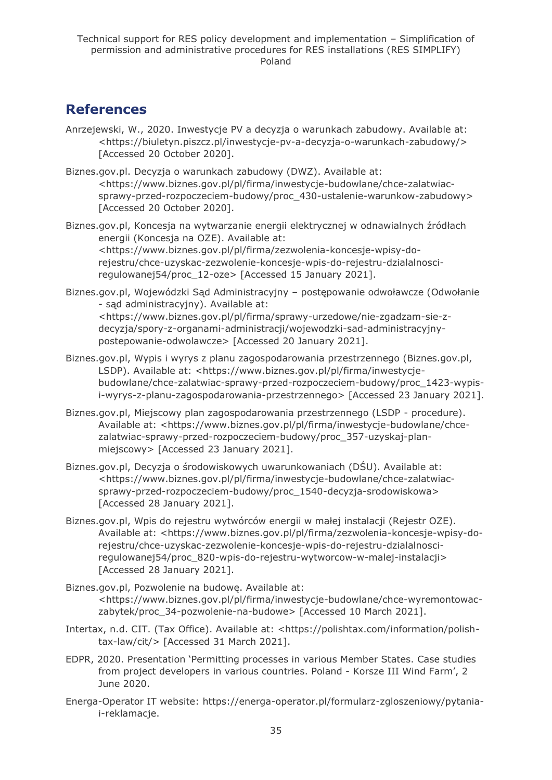## <span id="page-34-0"></span>**References**

- Anrzejewski, W., 2020. Inwestycje PV a decyzja o warunkach zabudowy. Available at: <https://biuletyn.piszcz.pl/inwestycje-pv-a-decyzja-o-warunkach-zabudowy/> [Accessed 20 October 2020].
- Biznes.gov.pl. Decyzja o warunkach zabudowy (DWZ). Available at: <https://www.biznes.gov.pl/pl/firma/inwestycje-budowlane/chce-zalatwiacsprawy-przed-rozpoczeciem-budowy/proc\_430-ustalenie-warunkow-zabudowy> [Accessed 20 October 2020].
- Biznes.gov.pl, Koncesja na wytwarzanie energii elektrycznej w odnawialnych źródłach energii (Koncesja na OZE). Available at: <https://www.biznes.gov.pl/pl/firma/zezwolenia-koncesje-wpisy-dorejestru/chce-uzyskac-zezwolenie-koncesje-wpis-do-rejestru-dzialalnosciregulowanej54/proc\_12-oze> [Accessed 15 January 2021].
- Biznes.gov.pl, Wojewódzki Sąd Administracyjny postępowanie odwoławcze (Odwołanie - sąd administracyjny). Available at: <https://www.biznes.gov.pl/pl/firma/sprawy-urzedowe/nie-zgadzam-sie-zdecyzja/spory-z-organami-administracji/wojewodzki-sad-administracyjnypostepowanie-odwolawcze> [Accessed 20 January 2021].
- Biznes.gov.pl, Wypis i wyrys z planu zagospodarowania przestrzennego (Biznes.gov.pl, LSDP). Available at: <https://www.biznes.gov.pl/pl/firma/inwestycjebudowlane/chce-zalatwiac-sprawy-przed-rozpoczeciem-budowy/proc\_1423-wypisi-wyrys-z-planu-zagospodarowania-przestrzennego> [Accessed 23 January 2021].
- Biznes.gov.pl, Miejscowy plan zagospodarowania przestrzennego (LSDP procedure). Available at: <https://www.biznes.gov.pl/pl/firma/inwestycje-budowlane/chcezalatwiac-sprawy-przed-rozpoczeciem-budowy/proc\_357-uzyskaj-planmiejscowy> [Accessed 23 January 2021].
- Biznes.gov.pl, Decyzja o środowiskowych uwarunkowaniach (DŚU). Available at: <https://www.biznes.gov.pl/pl/firma/inwestycje-budowlane/chce-zalatwiacsprawy-przed-rozpoczeciem-budowy/proc\_1540-decyzja-srodowiskowa> [Accessed 28 January 2021].
- Biznes.gov.pl, Wpis do rejestru wytwórców energii w małej instalacji (Rejestr OZE). Available at: <https://www.biznes.gov.pl/pl/firma/zezwolenia-koncesje-wpisy-dorejestru/chce-uzyskac-zezwolenie-koncesje-wpis-do-rejestru-dzialalnosciregulowanej54/proc\_820-wpis-do-rejestru-wytworcow-w-malej-instalacji> [Accessed 28 January 2021].
- Biznes.gov.pl, Pozwolenie na budowę. Available at: <https://www.biznes.gov.pl/pl/firma/inwestycje-budowlane/chce-wyremontowaczabytek/proc\_34-pozwolenie-na-budowe> [Accessed 10 March 2021].
- Intertax, n.d. CIT. (Tax Office). Available at: <https://polishtax.com/information/polishtax-law/cit/> [Accessed 31 March 2021].
- EDPR, 2020. Presentation 'Permitting processes in various Member States. Case studies from project developers in various countries. Poland - Korsze III Wind Farm', 2 June 2020.
- Energa-Operator IT website: https://energa-operator.pl/formularz-zgloszeniowy/pytaniai-reklamacje.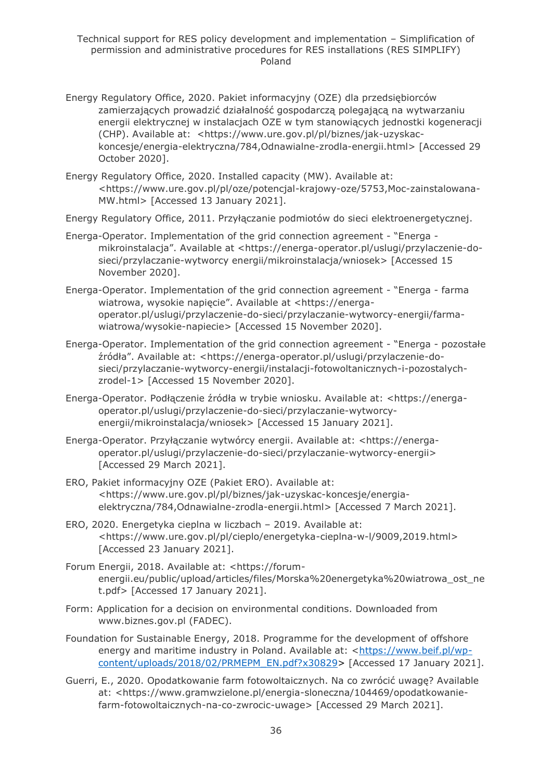- Energy Regulatory Office, 2020. Pakiet informacyjny (OZE) dla przedsiębiorców zamierzających prowadzić działalność gospodarczą polegającą na wytwarzaniu energii elektrycznej w instalacjach OZE w tym stanowiących jednostki kogeneracji (CHP). Available at: <https://www.ure.gov.pl/pl/biznes/jak-uzyskackoncesje/energia-elektryczna/784,Odnawialne-zrodla-energii.html> [Accessed 29 October 2020].
- Energy Regulatory Office, 2020. Installed capacity (MW). Available at: <https://www.ure.gov.pl/pl/oze/potencjal-krajowy-oze/5753,Moc-zainstalowana-MW.html> [Accessed 13 January 2021].

Energy Regulatory Office, 2011. Przyłączanie podmiotów do sieci elektroenergetycznej.

- Energa-Operator. Implementation of the grid connection agreement "Energa mikroinstalacja". Available at <https://energa-operator.pl/uslugi/przylaczenie-dosieci/przylaczanie-wytworcy energii/mikroinstalacja/wniosek> [Accessed 15 November 2020].
- Energa-Operator. Implementation of the grid connection agreement "Energa farma wiatrowa, wysokie napięcie". Available at <https://energaoperator.pl/uslugi/przylaczenie-do-sieci/przylaczanie-wytworcy-energii/farmawiatrowa/wysokie-napiecie> [Accessed 15 November 2020].
- Energa-Operator. Implementation of the grid connection agreement "Energa pozostałe źródła". Available at: <https://energa-operator.pl/uslugi/przylaczenie-dosieci/przylaczanie-wytworcy-energii/instalacji-fotowoltanicznych-i-pozostalychzrodel-1> [Accessed 15 November 2020].
- Energa-Operator. Podłączenie źródła w trybie wniosku. Available at: <https://energaoperator.pl/uslugi/przylaczenie-do-sieci/przylaczanie-wytworcyenergii/mikroinstalacja/wniosek> [Accessed 15 January 2021].
- Energa-Operator. Przyłączanie wytwórcy energii. Available at: <https://energaoperator.pl/uslugi/przylaczenie-do-sieci/przylaczanie-wytworcy-energii> [Accessed 29 March 2021].
- ERO, Pakiet informacyjny OZE (Pakiet ERO). Available at: <https://www.ure.gov.pl/pl/biznes/jak-uzyskac-koncesje/energiaelektryczna/784,Odnawialne-zrodla-energii.html> [Accessed 7 March 2021].
- ERO, 2020. Energetyka cieplna w liczbach 2019. Available at: <https://www.ure.gov.pl/pl/cieplo/energetyka-cieplna-w-l/9009,2019.html> [Accessed 23 January 2021].
- Forum Energii, 2018. Available at: <https://forumenergii.eu/public/upload/articles/files/Morska%20energetyka%20wiatrowa\_ost\_ne t.pdf> [Accessed 17 January 2021].
- Form: Application for a decision on environmental conditions. Downloaded from www.biznes.gov.pl (FADEC).
- Foundation for Sustainable Energy, 2018. Programme for the development of offshore energy and maritime industry in Poland. Available at: [<https://www.beif.pl/wp](https://www.beif.pl/wp-content/uploads/2018/02/PRMEPM_EN.pdf?x30829)[content/uploads/2018/02/PRMEPM\\_EN.pdf?x30829>](https://www.beif.pl/wp-content/uploads/2018/02/PRMEPM_EN.pdf?x30829) [Accessed 17 January 2021].
- Guerri, E., 2020. Opodatkowanie farm fotowoltaicznych. Na co zwrócić uwagę? Available at: <https://www.gramwzielone.pl/energia-sloneczna/104469/opodatkowaniefarm-fotowoltaicznych-na-co-zwrocic-uwage> [Accessed 29 March 2021].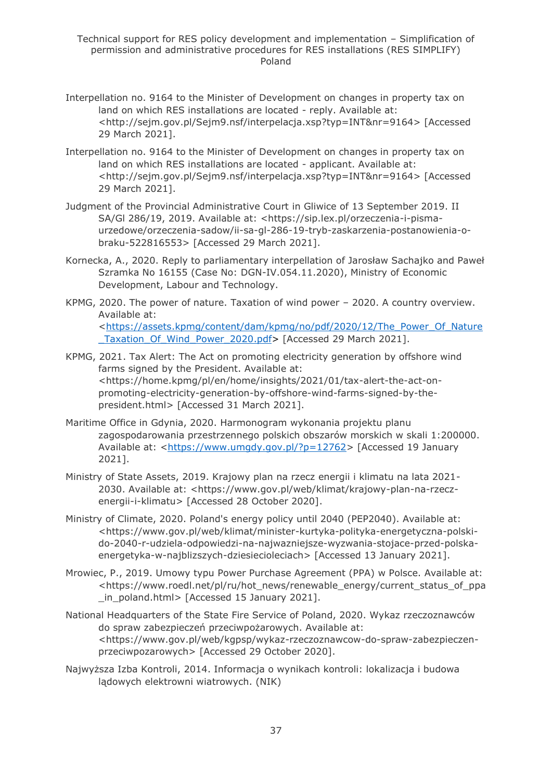- Interpellation no. 9164 to the Minister of Development on changes in property tax on land on which RES installations are located - reply. Available at: <http://sejm.gov.pl/Sejm9.nsf/interpelacja.xsp?typ=INT&nr=9164> [Accessed 29 March 2021].
- Interpellation no. 9164 to the Minister of Development on changes in property tax on land on which RES installations are located - applicant. Available at: <http://sejm.gov.pl/Sejm9.nsf/interpelacja.xsp?typ=INT&nr=9164> [Accessed 29 March 2021].
- Judgment of the Provincial Administrative Court in Gliwice of 13 September 2019. II SA/Gl 286/19, 2019. Available at: <https://sip.lex.pl/orzeczenia-i-pismaurzedowe/orzeczenia-sadow/ii-sa-gl-286-19-tryb-zaskarzenia-postanowienia-obraku-522816553> [Accessed 29 March 2021].
- Kornecka, A., 2020. Reply to parliamentary interpellation of Jarosław Sachajko and Paweł Szramka No 16155 (Case No: DGN-IV.054.11.2020), Ministry of Economic Development, Labour and Technology.
- KPMG, 2020. The power of nature. Taxation of wind power 2020. A country overview. Available at: [<https://assets.kpmg/content/dam/kpmg/no/pdf/2020/12/The\\_Power\\_Of\\_Nature](https://assets.kpmg/content/dam/kpmg/no/pdf/2020/12/The_Power_Of_Nature_Taxation_Of_Wind_Power_2020.pdf) [\\_Taxation\\_Of\\_Wind\\_Power\\_2020.pdf>](https://assets.kpmg/content/dam/kpmg/no/pdf/2020/12/The_Power_Of_Nature_Taxation_Of_Wind_Power_2020.pdf) [Accessed 29 March 2021].
- KPMG, 2021. Tax Alert: The Act on promoting electricity generation by offshore wind farms signed by the President. Available at: <https://home.kpmg/pl/en/home/insights/2021/01/tax-alert-the-act-onpromoting-electricity-generation-by-offshore-wind-farms-signed-by-thepresident.html> [Accessed 31 March 2021].
- Maritime Office in Gdynia, 2020. Harmonogram wykonania projektu planu zagospodarowania przestrzennego polskich obszarów morskich w skali 1:200000. Available at: [<https://www.umgdy.gov.pl/?p=12762>](https://www.umgdy.gov.pl/?p=12762) [Accessed 19 January 2021].
- Ministry of State Assets, 2019. Krajowy plan na rzecz energii i klimatu na lata 2021- 2030. Available at: <https://www.gov.pl/web/klimat/krajowy-plan-na-rzeczenergii-i-klimatu> [Accessed 28 October 2020].
- Ministry of Climate, 2020. Poland's energy policy until 2040 (PEP2040). Available at: <https://www.gov.pl/web/klimat/minister-kurtyka-polityka-energetyczna-polskido-2040-r-udziela-odpowiedzi-na-najwazniejsze-wyzwania-stojace-przed-polskaenergetyka-w-najblizszych-dziesiecioleciach> [Accessed 13 January 2021].
- Mrowiec, P., 2019. Umowy typu Power Purchase Agreement (PPA) w Polsce. Available at: <https://www.roedl.net/pl/ru/hot\_news/renewable\_energy/current\_status\_of\_ppa in\_poland.html> [Accessed 15 January 2021].
- National Headquarters of the State Fire Service of Poland, 2020. Wykaz rzeczoznawców do spraw zabezpieczeń przeciwpożarowych. Available at: <https://www.gov.pl/web/kgpsp/wykaz-rzeczoznawcow-do-spraw-zabezpieczenprzeciwpozarowych> [Accessed 29 October 2020].
- Najwyższa Izba Kontroli, 2014. Informacja o wynikach kontroli: lokalizacja i budowa lądowych elektrowni wiatrowych. (NIK)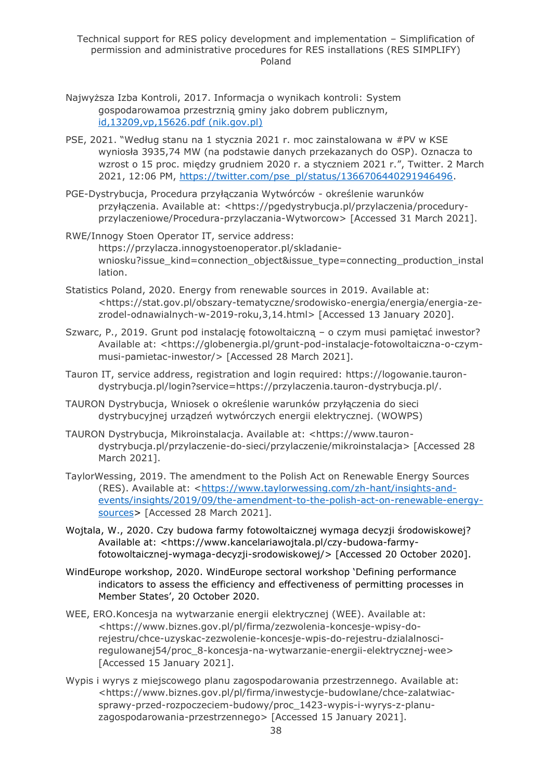- Najwyższa Izba Kontroli, 2017. Informacja o wynikach kontroli: System gospodarowamoa przestrznią gminy jako dobrem publicznym, [id,13209,vp,15626.pdf \(nik.gov.pl\)](https://www.nik.gov.pl/plik/id,13209,vp,15626.pdf)
- PSE, 2021. "Według stanu na 1 stycznia 2021 r. moc zainstalowana w #PV w KSE wyniosła 3935,74 MW (na podstawie danych przekazanych do OSP). Oznacza to wzrost o 15 proc. między grudniem 2020 r. a styczniem 2021 r.", Twitter. 2 March 2021, 12:06 PM, [https://twitter.com/pse\\_pl/status/1366706440291946496.](https://twitter.com/pse_pl/status/1366706440291946496)
- PGE-Dystrybucja, Procedura przyłączania Wytwórców określenie warunków przyłączenia. Available at: <https://pgedystrybucja.pl/przylaczenia/proceduryprzylaczeniowe/Procedura-przylaczania-Wytworcow> [Accessed 31 March 2021].
- RWE/Innogy Stoen Operator IT, service address: https://przylacza.innogystoenoperator.pl/skladaniewniosku?issue\_kind=connection\_object&issue\_type=connecting\_production\_instal lation.
- Statistics Poland, 2020. Energy from renewable sources in 2019. Available at: <https://stat.gov.pl/obszary-tematyczne/srodowisko-energia/energia/energia-zezrodel-odnawialnych-w-2019-roku,3,14.html> [Accessed 13 January 2020].
- Szwarc, P., 2019. Grunt pod instalację fotowoltaiczną o czym musi pamiętać inwestor? Available at: <https://globenergia.pl/grunt-pod-instalacje-fotowoltaiczna-o-czymmusi-pamietac-inwestor/> [Accessed 28 March 2021].
- Tauron IT, service address, registration and login required: https://logowanie.taurondystrybucja.pl/login?service=https://przylaczenia.tauron-dystrybucja.pl/.
- TAURON Dystrybucja, Wniosek o określenie warunków przyłączenia do sieci dystrybucyjnej urządzeń wytwórczych energii elektrycznej. (WOWPS)
- TAURON Dystrybucja, Mikroinstalacja. Available at: <https://www.taurondystrybucja.pl/przylaczenie-do-sieci/przylaczenie/mikroinstalacja> [Accessed 28 March 2021].
- TaylorWessing, 2019. The amendment to the Polish Act on Renewable Energy Sources (RES). Available at: [<https://www.taylorwessing.com/zh-hant/insights-and](https://www.taylorwessing.com/zh-hant/insights-and-events/insights/2019/09/the-amendment-to-the-polish-act-on-renewable-energy-sources)[events/insights/2019/09/the-amendment-to-the-polish-act-on-renewable-energy](https://www.taylorwessing.com/zh-hant/insights-and-events/insights/2019/09/the-amendment-to-the-polish-act-on-renewable-energy-sources)[sources>](https://www.taylorwessing.com/zh-hant/insights-and-events/insights/2019/09/the-amendment-to-the-polish-act-on-renewable-energy-sources) [Accessed 28 March 2021].
- Wojtala, W., 2020. Czy budowa farmy fotowoltaicznej wymaga decyzji środowiskowej? Available at: <https://www.kancelariawojtala.pl/czy-budowa-farmyfotowoltaicznej-wymaga-decyzji-srodowiskowej/> [Accessed 20 October 2020].
- WindEurope workshop, 2020. WindEurope sectoral workshop 'Defining performance indicators to assess the efficiency and effectiveness of permitting processes in Member States', 20 October 2020.
- WEE, ERO.Koncesja na wytwarzanie energii elektrycznej (WEE). Available at: <https://www.biznes.gov.pl/pl/firma/zezwolenia-koncesje-wpisy-dorejestru/chce-uzyskac-zezwolenie-koncesje-wpis-do-rejestru-dzialalnosciregulowanej54/proc\_8-koncesja-na-wytwarzanie-energii-elektrycznej-wee> [Accessed 15 January 2021].
- Wypis i wyrys z miejscowego planu zagospodarowania przestrzennego. Available at: <https://www.biznes.gov.pl/pl/firma/inwestycje-budowlane/chce-zalatwiacsprawy-przed-rozpoczeciem-budowy/proc\_1423-wypis-i-wyrys-z-planuzagospodarowania-przestrzennego> [Accessed 15 January 2021].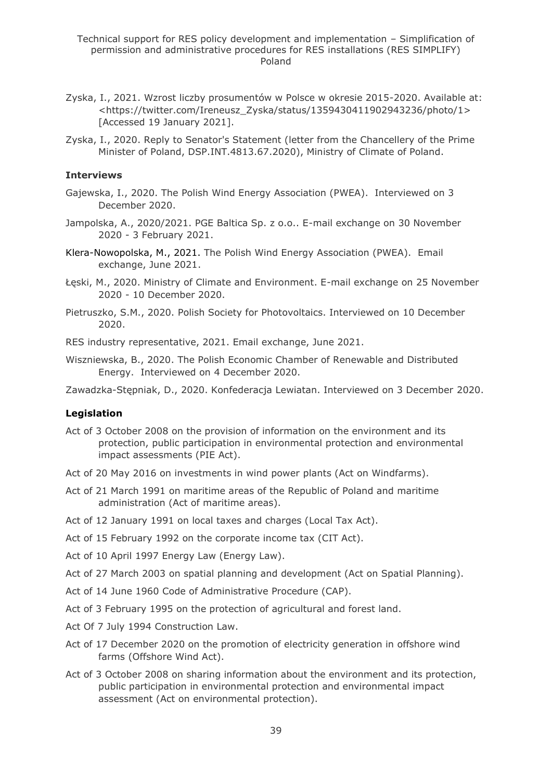- Zyska, I., 2021. Wzrost liczby prosumentów w Polsce w okresie 2015-2020. Available at: <https://twitter.com/Ireneusz\_Zyska/status/1359430411902943236/photo/1> [Accessed 19 January 2021].
- Zyska, I., 2020. Reply to Senator's Statement (letter from the Chancellery of the Prime Minister of Poland, DSP.INT.4813.67.2020), Ministry of Climate of Poland.

#### **Interviews**

- Gajewska, I., 2020. The Polish Wind Energy Association (PWEA). Interviewed on 3 December 2020.
- Jampolska, A., 2020/2021. PGE Baltica Sp. z o.o.. E-mail exchange on 30 November 2020 - 3 February 2021.
- Klera-Nowopolska, M., 2021. The Polish Wind Energy Association (PWEA). Email exchange, June 2021.
- Łęski, M., 2020. Ministry of Climate and Environment. E-mail exchange on 25 November 2020 - 10 December 2020.
- Pietruszko, S.M., 2020. Polish Society for Photovoltaics. Interviewed on 10 December 2020.

RES industry representative, 2021. Email exchange, June 2021.

Wiszniewska, B., 2020. The Polish Economic Chamber of Renewable and Distributed Energy. Interviewed on 4 December 2020.

Zawadzka-Stępniak, D., 2020. Konfederacja Lewiatan. Interviewed on 3 December 2020.

#### **Legislation**

- Act of 3 October 2008 on the provision of information on the environment and its protection, public participation in environmental protection and environmental impact assessments (PIE Act).
- Act of 20 May 2016 on investments in wind power plants (Act on Windfarms).
- Act of 21 March 1991 on maritime areas of the Republic of Poland and maritime administration (Act of maritime areas).
- Act of 12 January 1991 on local taxes and charges (Local Tax Act).
- Act of 15 February 1992 on the corporate income tax (CIT Act).
- Act of 10 April 1997 Energy Law (Energy Law).
- Act of 27 March 2003 on spatial planning and development (Act on Spatial Planning).
- Act of 14 June 1960 Code of Administrative Procedure (CAP).
- Act of 3 February 1995 on the protection of agricultural and forest land.
- Act Of 7 July 1994 Construction Law.
- Act of 17 December 2020 on the promotion of electricity generation in offshore wind farms (Offshore Wind Act).
- Act of 3 October 2008 on sharing information about the environment and its protection, public participation in environmental protection and environmental impact assessment (Act on environmental protection).